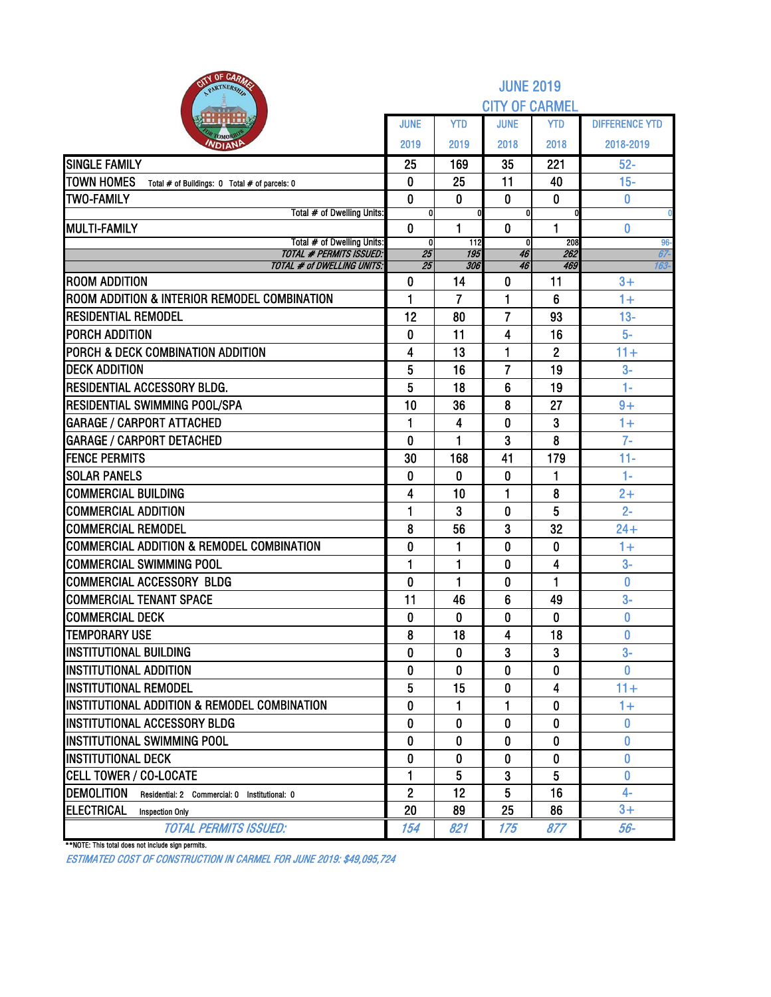| <b>BITY OF CARAZE</b><br>PARTNERSH                                    | <b>JUNE 2019</b>      |                      |                   |                      |                       |  |  |  |  |
|-----------------------------------------------------------------------|-----------------------|----------------------|-------------------|----------------------|-----------------------|--|--|--|--|
|                                                                       | <b>CITY OF CARMEL</b> |                      |                   |                      |                       |  |  |  |  |
|                                                                       | <b>JUNE</b>           | <b>YTD</b>           | <b>JUNE</b>       | <b>YTD</b>           | <b>DIFFERENCE YTD</b> |  |  |  |  |
| OMOP<br><b>NDIAN</b>                                                  | 2019                  | 2019                 | 2018              | 2018                 | 2018-2019             |  |  |  |  |
| <b>SINGLE FAMILY</b>                                                  | 25                    | 169                  | 35                | 221                  | $52-$                 |  |  |  |  |
| <b>TOWN HOMES</b><br>Total # of Buildings: 0 Total # of parcels: 0    | 0                     | 25                   | 11                | 40                   | $15-$                 |  |  |  |  |
| <b>TWO-FAMILY</b>                                                     | $\bf{0}$              | 0                    | $\mathbf{0}$      | $\bf{0}$             | 0                     |  |  |  |  |
| Total # of Dwelling Units:                                            | 0                     |                      | U                 |                      |                       |  |  |  |  |
| <b>MULTI-FAMILY</b><br>Total # of Dwelling Units:                     | $\mathbf{0}$<br>0     | 1<br>112             | $\mathbf{0}$<br>0 | 1<br>208             | 0<br>96-              |  |  |  |  |
| <b>TOTAL # PERMITS ISSUED:</b>                                        | 25                    | 195                  | 46                | 262                  | 67-                   |  |  |  |  |
| <b>TOTAL # of DWELLING UNITS:</b>                                     | 25                    | 306                  | 46                | 469                  | 163-                  |  |  |  |  |
| <b>ROOM ADDITION</b><br>ROOM ADDITION & INTERIOR REMODEL COMBINATION  | 0                     | 14<br>$\overline{7}$ | 0                 | 11                   | $3+$<br>$1+$          |  |  |  |  |
| <b>RESIDENTIAL REMODEL</b>                                            | 1                     |                      | 1                 | 6                    |                       |  |  |  |  |
|                                                                       | 12                    | 80                   | 7                 | 93                   | $13 -$<br>$5-$        |  |  |  |  |
| <b>PORCH ADDITION</b><br><b>PORCH &amp; DECK COMBINATION ADDITION</b> | 0                     | 11<br>13             | 4                 | 16                   | $11 +$                |  |  |  |  |
| <b>DECK ADDITION</b>                                                  | 4<br>5                | 16                   | 1<br>7            | $\overline{2}$<br>19 | $3-$                  |  |  |  |  |
| <b>RESIDENTIAL ACCESSORY BLDG.</b>                                    | 5                     | 18                   | 6                 | 19                   | $1 -$                 |  |  |  |  |
| <b>RESIDENTIAL SWIMMING POOL/SPA</b>                                  | 10                    | 36                   | 8                 | 27                   | $9+$                  |  |  |  |  |
| <b>GARAGE / CARPORT ATTACHED</b>                                      | 1                     | 4                    | 0                 | 3                    | $1+$                  |  |  |  |  |
| <b>GARAGE / CARPORT DETACHED</b>                                      | 0                     | 1                    | 3                 | 8                    | $7-$                  |  |  |  |  |
| <b>FENCE PERMITS</b>                                                  | 30                    | 168                  | 41                | 179                  | $11 -$                |  |  |  |  |
| <b>SOLAR PANELS</b>                                                   | $\bf{0}$              | $\bf{0}$             | 0                 | 1                    | $1-$                  |  |  |  |  |
| <b>COMMERCIAL BUILDING</b>                                            | 4                     | 10                   | 1                 | 8                    | $2+$                  |  |  |  |  |
| <b>COMMERCIAL ADDITION</b>                                            | 1                     | 3                    | 0                 | 5                    | $2 -$                 |  |  |  |  |
| <b>COMMERCIAL REMODEL</b>                                             | 8                     | 56                   | 3                 | 32                   | $24 +$                |  |  |  |  |
| <b>COMMERCIAL ADDITION &amp; REMODEL COMBINATION</b>                  | 0                     | 1                    | 0                 | 0                    | $1+$                  |  |  |  |  |
| <b>COMMERCIAL SWIMMING POOL</b>                                       | 1                     | 1                    | 0                 | 4                    | $3-$                  |  |  |  |  |
| COMMERCIAL ACCESSORY BLDG                                             | 0                     | 1                    | 0                 | 1                    | 0                     |  |  |  |  |
| <b>COMMERCIAL TENANT SPACE</b>                                        | 11                    | 46                   | 6                 | 49                   | $3-$                  |  |  |  |  |
| <b>COMMERCIAL DECK</b>                                                | 0                     | 0                    | 0                 | 0                    | 0                     |  |  |  |  |
| <b>TEMPORARY USE</b>                                                  | 8                     | 18                   | 4                 | 18                   | 0                     |  |  |  |  |
| <b>INSTITUTIONAL BUILDING</b>                                         | 0                     | 0                    | 3                 | 3                    | $3-$                  |  |  |  |  |
| <b>IINSTITUTIONAL ADDITION</b>                                        | 0                     | 0                    | 0                 | 0                    | $\mathbf{0}$          |  |  |  |  |
| <b>IINSTITUTIONAL REMODEL</b>                                         | 5                     | 15                   | 0                 | 4                    | $11 +$                |  |  |  |  |
| IINSTITUTIONAL ADDITION & REMODEL COMBINATION                         | $\bf{0}$              | 1                    | 1                 | 0                    | $1+$                  |  |  |  |  |
| <b>IINSTITUTIONAL ACCESSORY BLDG</b>                                  | 0                     | 0                    | 0                 | 0                    | $\bf{0}$              |  |  |  |  |
| <b>INSTITUTIONAL SWIMMING POOL</b>                                    | $\mathbf{0}$          | $\mathbf{0}$         | $\Omega$          | 0                    | 0                     |  |  |  |  |
| <b>IINSTITUTIONAL DECK</b>                                            | 0                     | 0                    | 0                 | 0                    | 0                     |  |  |  |  |
| <b>CELL TOWER / CO-LOCATE</b>                                         | 1                     | 5                    | 3                 | 5                    | 0                     |  |  |  |  |
| <b>DEMOLITION</b><br>Residential: 2 Commercial: 0 Institutional: 0    | $\overline{2}$        | 12                   | 5                 | 16                   | $4-$                  |  |  |  |  |
| ELECTRICAL<br><b>Inspection Only</b>                                  | 20                    | 89                   | 25                | 86                   | $3+$                  |  |  |  |  |
| <b>TOTAL PERMITS ISSUED:</b>                                          | 154                   | 821                  | 175               | 877                  | 56-                   |  |  |  |  |

\*\*NOTE: This total does not include sign permits.

ESTIMATED COST OF CONSTRUCTION IN CARMEL FOR JUNE 2019: \$49,095,724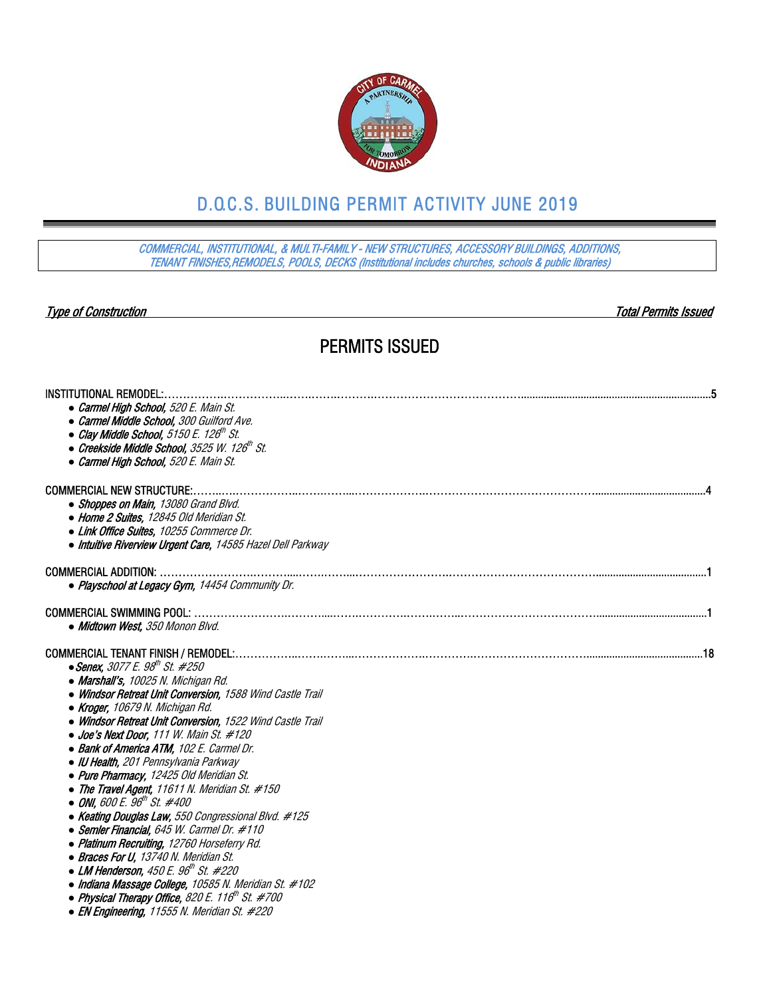

## D.O.C.S. BUILDING PERMIT ACTIVITY JUNE 2019

COMMERCIAL, INSTITUTIONAL, & MULTI-FAMILY - NEW STRUCTURES, ACCESSORY BUILDINGS, ADDITIONS, TENANT FINISHES,REMODELS, POOLS, DECKS (Institutional includes churches, schools & public libraries)

Type of Construction Total Permits Issued

### PERMITS ISSUED

| <b>INSTITUTIONAL REMODEL:</b>                                              |  |
|----------------------------------------------------------------------------|--|
| • Carmel High School, 520 E. Main St.                                      |  |
| • Carmel Middle School, 300 Guilford Ave.                                  |  |
| • Clay Middle School, 5150 E. 126 <sup>th</sup> St.                        |  |
| $\bullet$ Creekside Middle School, 3525 W. 126 $^{\prime\prime\prime}$ St. |  |
| • Carmel High School, 520 E. Main St.                                      |  |
| <b>COMMERCIAL NEW STRUCTURE:</b>                                           |  |
| • Shoppes on Main, 13080 Grand Blvd.                                       |  |
| • Home 2 Suites, 12845 Old Meridian St.                                    |  |
| • Link Office Suites, 10255 Commerce Dr.                                   |  |
| • Intuitive Riverview Urgent Care, 14585 Hazel Dell Parkway                |  |
| <b>COMMERCIAL ADDITION:</b>                                                |  |
| • Playschool at Legacy Gym, 14454 Community Dr.                            |  |
| <b>COMMERCIAL SWIMMING POOL:</b>                                           |  |
| • Midtown West, 350 Monon Blvd.                                            |  |
|                                                                            |  |
| $\bullet$ Senex, 3077 E. 98 <sup>th</sup> St. #250                         |  |
| • Marshall's, 10025 N. Michigan Rd.                                        |  |
| • Windsor Retreat Unit Conversion, 1588 Wind Castle Trail                  |  |
| • Kroger, 10679 N. Michigan Rd.                                            |  |
| • Windsor Retreat Unit Conversion, 1522 Wind Castle Trail                  |  |
| • Joe's Next Door, 111 W. Main St. #120                                    |  |
| • Bank of America ATM, 102 E. Carmel Dr.                                   |  |
| • IU Health, 201 Pennsylvania Parkway                                      |  |
| • Pure Pharmacy, 12425 Old Meridian St.                                    |  |
| • The Travel Agent, 11611 N. Meridian St. $\#150$                          |  |
| $\bullet$ ONI, 600 E. 96 <sup>th</sup> St. #400                            |  |
| • Keating Douglas Law, 550 Congressional Blvd. #125                        |  |
| • Semler Financial, 645 W. Carmel Dr. #110                                 |  |
| • Platinum Recruiting, 12760 Horseferry Rd.                                |  |
| • Braces For U, 13740 N. Meridian St.                                      |  |
| $\bullet$ LM Henderson, 450 E. 96th St. #220                               |  |
| • Indiana Massage College, 10585 N. Meridian St. #102                      |  |
| • Physical Therapy Office, 820 E. 116 <sup>th</sup> St. #700               |  |

*●* EN Engineering, 11555 N. Meridian St. #220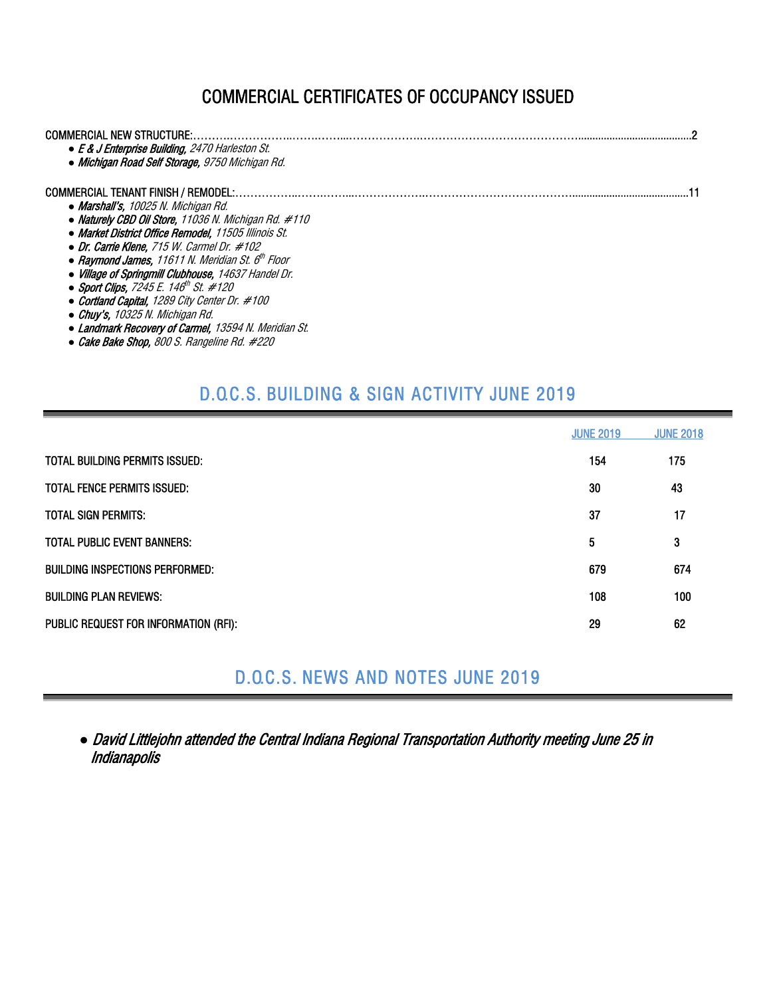## COMMERCIAL CERTIFICATES OF OCCUPANCY ISSUED

| COMMERCIAL NEW STRUCTURE:<br>• E & J Enterprise Building, 2470 Harleston St.<br>• Michigan Road Self Storage, 9750 Michigan Rd. |  |
|---------------------------------------------------------------------------------------------------------------------------------|--|
| <b>COMMERCIAL TENANT FINISH / REMODEL:</b>                                                                                      |  |
| • Marshall's, 10025 N. Michigan Rd.                                                                                             |  |
| • Naturely CBD Oil Store, 11036 N. Michigan Rd. #110                                                                            |  |
| • Market District Office Remodel. 11505 Illinois St.                                                                            |  |
| $\bullet$ Dr. Carrie Klene. 715 W. Carmel Dr. #102                                                                              |  |
| • Raymond James, 11611 N. Meridian St. $6th$ Floor                                                                              |  |
| • Village of Springmill Clubhouse, 14637 Handel Dr.                                                                             |  |
| • Sport Clips, 7245 E. 146 <sup>th</sup> St. #120                                                                               |  |
| • Cortland Capital, 1289 City Center Dr. #100                                                                                   |  |
| $\bullet$ Chuv's. 10325 N. Michigan Rd.                                                                                         |  |
| • Landmark Recovery of Carmel, 13594 N. Meridian St.                                                                            |  |
| • Cake Bake Shop, 800 S. Rangeline Rd. #220                                                                                     |  |

## D.O.C.S. BUILDING & SIGN ACTIVITY JUNE 2019

|                                        | <b>JUNE 2019</b> | <b>JUNE 2018</b> |
|----------------------------------------|------------------|------------------|
| <b>TOTAL BUILDING PERMITS ISSUED:</b>  | 154              | 175              |
| <b>TOTAL FENCE PERMITS ISSUED:</b>     | 30               | 43               |
| <b>TOTAL SIGN PERMITS:</b>             | 37               | 17               |
| <b>TOTAL PUBLIC EVENT BANNERS:</b>     | 5                | 3                |
| <b>BUILDING INSPECTIONS PERFORMED:</b> | 679              | 674              |
| <b>BUILDING PLAN REVIEWS:</b>          | 108              | 100              |
| PUBLIC REQUEST FOR INFORMATION (RFI):  | 29               | 62               |

D.O.C.S. NEWS AND NOTES JUNE 2019

*●* David Littlejohn attended the Central Indiana Regional Transportation Authority meeting June 25 in **Indianapolis**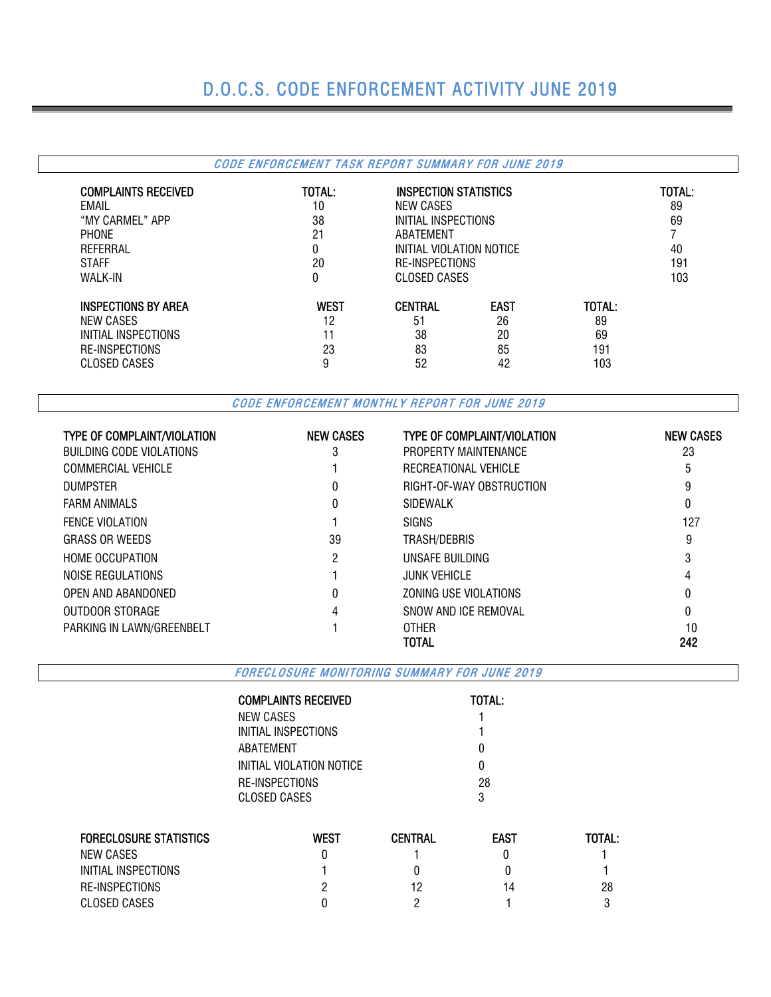# D.O.C.S. CODE ENFORCEMENT ACTIVITY JUNE 2019

|                            | CODE ENFORCEMENT TASK REPORT SUMMARY FOR JUNE 2019 |                          |             |        |        |     |
|----------------------------|----------------------------------------------------|--------------------------|-------------|--------|--------|-----|
| <b>COMPLAINTS RECEIVED</b> | TOTAL:                                             | INSPECTION STATISTICS    |             |        | TOTAL: |     |
| FMAII                      | 10                                                 | NEW CASES                |             |        |        |     |
| "MY CARMEL" APP            | 38                                                 | INITIAL INSPECTIONS      |             | 69     |        |     |
| <b>PHONE</b>               | 21                                                 | ABATEMENT                |             |        |        |     |
| REFERRAL                   |                                                    | INITIAL VIOLATION NOTICE |             |        | 40     |     |
| <b>STAFF</b>               | 20                                                 | RE-INSPECTIONS           | 191         |        |        |     |
| WALK-IN                    | 0                                                  | CLOSED CASES             |             |        |        | 103 |
| <b>INSPECTIONS BY AREA</b> | <b>WEST</b>                                        | <b>CENTRAL</b>           | <b>EAST</b> | TOTAL: |        |     |
| NEW CASES                  | 12                                                 | 51                       | 26          | 89     |        |     |
| INITIAL INSPECTIONS        | 11                                                 | 38                       | 20          | 69     |        |     |
| RE-INSPECTIONS             | 23                                                 | 83                       | 85          |        |        |     |
| <b>CLOSED CASES</b>        | 9                                                  | 52                       | 42          | 103    |        |     |

CODE ENFORCEMENT MONTHLY REPORT FOR JUNE 2019

| <b>TYPE OF COMPLAINT/VIOLATION</b> | <b>NEW CASES</b> | <b>TYPE OF COMPLAINT/VIOLATION</b> | <b>NEW CASES</b> |
|------------------------------------|------------------|------------------------------------|------------------|
| BUILDING CODE VIOLATIONS           | 3                | PROPERTY MAINTENANCE               | 23               |
| <b>COMMERCIAL VEHICLE</b>          |                  | RECREATIONAL VEHICLE               | 5                |
| <b>DUMPSTER</b>                    |                  | RIGHT-OF-WAY OBSTRUCTION           | 9                |
| <b>FARM ANIMALS</b>                |                  | SIDEWALK                           | 0                |
| <b>FENCE VIOLATION</b>             |                  | <b>SIGNS</b>                       | 127              |
| <b>GRASS OR WEEDS</b>              | 39               | TRASH/DEBRIS                       | 9                |
| <b>HOME OCCUPATION</b>             | 2                | UNSAFE BUILDING                    | 3                |
| NOISE REGULATIONS                  |                  | <b>JUNK VEHICLE</b>                | 4                |
| OPEN AND ABANDONED                 |                  | ZONING USE VIOLATIONS              | 0                |
| OUTDOOR STORAGE                    | 4                | SNOW AND ICF REMOVAL               | 0                |
| PARKING IN LAWN/GREENBELT          |                  | <b>OTHER</b>                       | 10               |
|                                    |                  | TOTAL                              | 242              |

FORECLOSURE MONITORING SUMMARY FOR JUNE 2019

| <b>TOTAL:</b> |
|---------------|
|               |
|               |
|               |
| O             |
| 28            |
| 3             |
|               |

| <b>FORECLOSURE STATISTICS</b> | West | CENTRAL | <b>EAST</b> | TOTAL: |
|-------------------------------|------|---------|-------------|--------|
| NEW CASES                     |      |         |             |        |
| INITIAL INSPECTIONS           |      |         |             |        |
| RE-INSPECTIONS                |      |         | 14          | 28     |
| CLOSED CASES                  |      |         |             |        |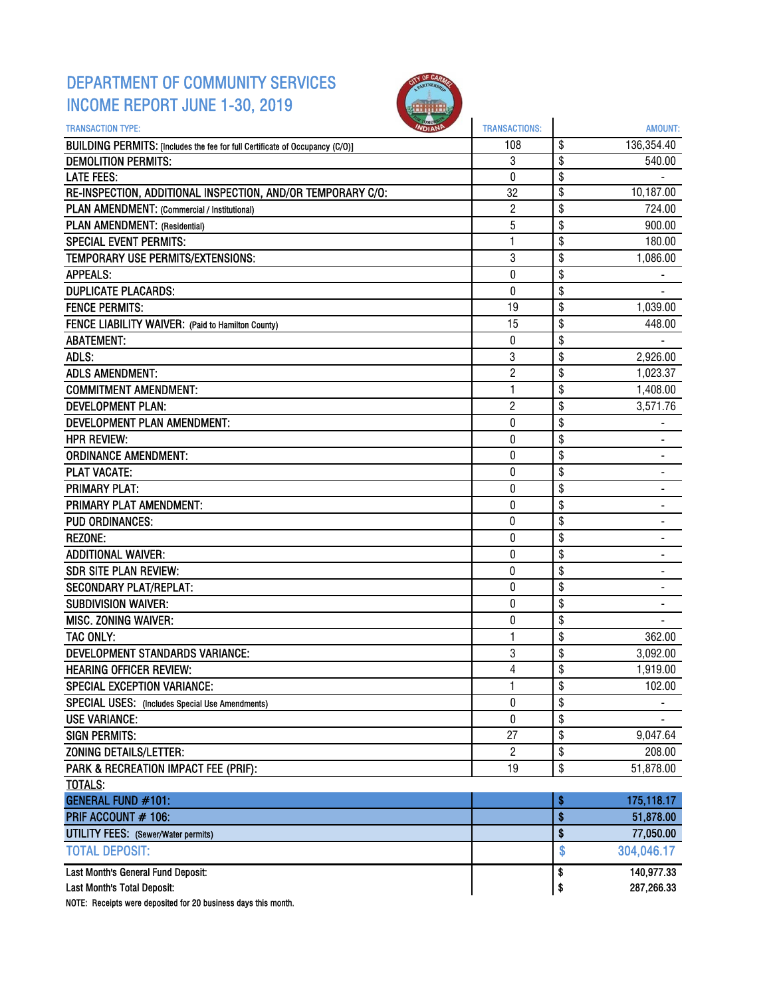### DEPARTMENT OF COMMUNITY SERVICES INCOME REPORT JUNE 1-30, 2019



| <b>TRANSACTION TYPE:</b>                                                     | <b>TRANSACTIONS:</b> | AMOUNT:                        |
|------------------------------------------------------------------------------|----------------------|--------------------------------|
| BUILDING PERMITS: [Includes the fee for full Certificate of Occupancy (C/O)] | 108                  | \$<br>136,354.40               |
| <b>DEMOLITION PERMITS:</b>                                                   | 3                    | \$<br>540.00                   |
| <b>LATE FEES:</b>                                                            | 0                    | \$                             |
| RE-INSPECTION, ADDITIONAL INSPECTION, AND/OR TEMPORARY C/O:                  | 32                   | \$<br>10,187.00                |
| PLAN AMENDMENT: (Commercial / Institutional)                                 | $\overline{2}$       | \$<br>724.00                   |
| PLAN AMENDMENT: (Residential)                                                | 5                    | \$<br>900.00                   |
| <b>SPECIAL EVENT PERMITS:</b>                                                | 1                    | \$<br>180.00                   |
| TEMPORARY USE PERMITS/EXTENSIONS:                                            | 3                    | \$<br>1,086.00                 |
| <b>APPEALS:</b>                                                              | 0                    | \$                             |
| <b>DUPLICATE PLACARDS:</b>                                                   | 0                    | \$                             |
| <b>FENCE PERMITS:</b>                                                        | 19                   | \$<br>1,039.00                 |
| FENCE LIABILITY WAIVER: (Paid to Hamilton County)                            | 15                   | \$<br>448.00                   |
| <b>ABATEMENT:</b>                                                            | 0                    | \$                             |
| ADLS:                                                                        | 3                    | \$<br>2,926.00                 |
| <b>ADLS AMENDMENT:</b>                                                       | $\overline{2}$       | \$<br>1,023.37                 |
| <b>COMMITMENT AMENDMENT:</b>                                                 | 1                    | \$<br>1,408.00                 |
| <b>DEVELOPMENT PLAN:</b>                                                     | $\overline{c}$       | \$<br>3,571.76                 |
| DEVELOPMENT PLAN AMENDMENT:                                                  | 0                    | \$                             |
| <b>HPR REVIEW:</b>                                                           | $\bf{0}$             | \$                             |
| <b>ORDINANCE AMENDMENT:</b>                                                  | 0                    | \$<br>۰                        |
| <b>PLAT VACATE:</b>                                                          | 0                    | \$                             |
| <b>PRIMARY PLAT:</b>                                                         | 0                    | \$                             |
| PRIMARY PLAT AMENDMENT:                                                      | 0                    | \$                             |
| <b>PUD ORDINANCES:</b>                                                       | 0                    | \$                             |
| <b>REZONE:</b>                                                               | $\pmb{0}$            | \$                             |
| <b>ADDITIONAL WAIVER:</b>                                                    | 0                    | \$<br>$\overline{\phantom{0}}$ |
| <b>SDR SITE PLAN REVIEW:</b>                                                 | 0                    | \$<br>$\overline{\phantom{0}}$ |
| <b>SECONDARY PLAT/REPLAT:</b>                                                | 0                    | \$                             |
| <b>SUBDIVISION WAIVER:</b>                                                   | 0                    | \$                             |
| MISC. ZONING WAIVER:                                                         | $\bf{0}$             | \$                             |
| TAC ONLY:                                                                    | 1                    | \$<br>362.00                   |
| <b>DEVELOPMENT STANDARDS VARIANCE:</b>                                       | 3                    | \$<br>3,092.00                 |
| <b>HEARING OFFICER REVIEW:</b>                                               | 4                    | \$<br>1,919.00                 |
| SPECIAL EXCEPTION VARIANCE:                                                  | 1                    | \$<br>102.00                   |
| SPECIAL USES: (Includes Special Use Amendments)                              | 0                    | \$                             |
| <b>USE VARIANCE:</b>                                                         | 0                    | \$                             |
| <b>SIGN PERMITS:</b>                                                         | 27                   | \$<br>9,047.64                 |
| <b>ZONING DETAILS/LETTER:</b>                                                | $\overline{c}$       | \$<br>208.00                   |
| PARK & RECREATION IMPACT FEE (PRIF):                                         | 19                   | \$<br>51,878.00                |
| <b>TOTALS:</b>                                                               |                      |                                |
| <b>GENERAL FUND #101:</b>                                                    |                      | \$<br>175,118.17               |
| PRIF ACCOUNT # 106:                                                          |                      | \$<br>51,878.00                |
| <b>UTILITY FEES:</b> (Sewer/Water permits)                                   |                      | \$<br>77,050.00                |
| <b>TOTAL DEPOSIT:</b>                                                        |                      | \$<br>304,046.17               |
| Last Month's General Fund Deposit:                                           |                      | \$<br>140,977.33               |
| Last Month's Total Deposit:                                                  |                      | \$<br>287,266.33               |

NOTE: Receipts were deposited for 20 business days this month.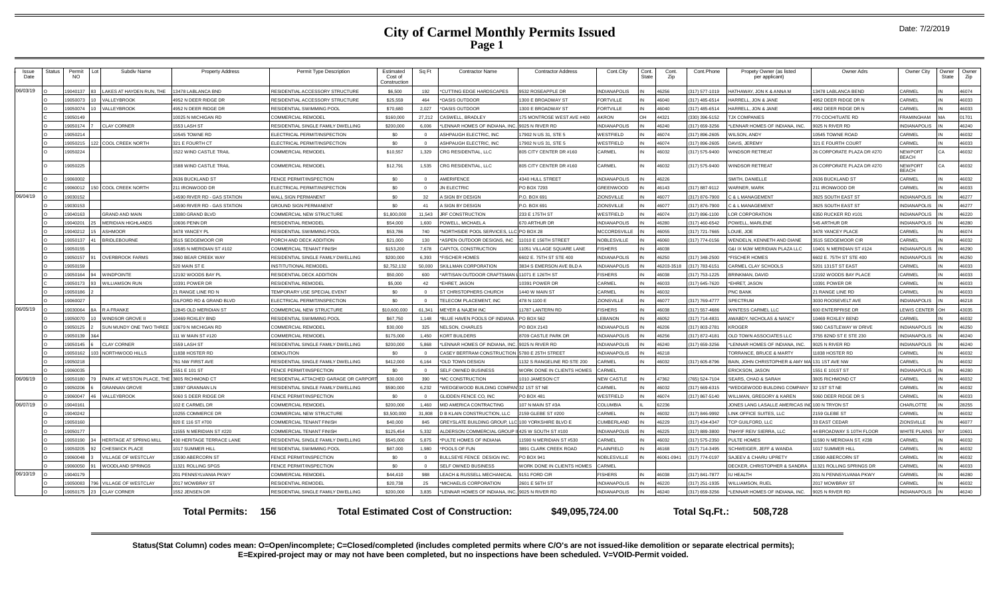|  |  | Date: 7/2/2019 |
|--|--|----------------|
|--|--|----------------|

| Issue<br>Date | Status | Permit<br><b>NO</b> | Subdiv Name                                 | <b>Property Address</b>            | Permit Type Description                                  | Estimated<br>Cost of<br>Constructior | Sq Ft          | <b>Contractor Name</b>                                                 | <b>Contractor Address</b>         | Cont.City                                  | Cont.<br>State | Cont.<br>Zip  | Cont.Phone    | Propety Owner (as listed<br>per applicant)                                   | Owner Adrs                                | Owner City                                 | Owner<br>State | Owner<br>Zip   |
|---------------|--------|---------------------|---------------------------------------------|------------------------------------|----------------------------------------------------------|--------------------------------------|----------------|------------------------------------------------------------------------|-----------------------------------|--------------------------------------------|----------------|---------------|---------------|------------------------------------------------------------------------------|-------------------------------------------|--------------------------------------------|----------------|----------------|
| 06/03/19      |        | 19040137            | AKES AT HAYDEN RUN. THE                     | 13478 LABLANCA BND                 | RESIDENTIAL ACCESSORY STRUCTURE                          | \$6,500                              | 192            | *CUTTING EDGE HARDSCAPES                                               | 9532 ROSEAPPLE DR                 | <b>INDIANAPOLIS</b>                        |                | 46256         | 317) 577-1019 | HATHAWAY, JON K & ANNA M                                                     | 13478 LABLANCA BEND                       | CARMEL                                     |                | 46074          |
|               |        | 19050073            | <b>ALLEYBROOK</b>                           | 4952 N DEER RIDGE DR               | RESIDENTIAL ACCESSORY STRUCTURE                          | \$25,559                             | 464            | *OASIS OUTDOOR                                                         | 300 E BROADWAY ST                 | <b>FORTVILLE</b>                           |                | 16040         | 317) 485-6514 | <b>HARRELL, JON &amp; JANE</b>                                               | 4952 DEER RIDGE DR N                      | CARMEL                                     |                | 46033          |
|               |        | 19050074            | <b>ALLEYBROOK</b>                           | 4952 N DEER RIDGE DR               | RESIDENTIAL SWIMMING POOL                                | \$70,680                             | 2,027          | *OASIS OUTDOOR                                                         | 300 E BROADWAY ST                 | <b>FORTVILLE</b>                           |                | 46040         | 317) 485-6514 | HARRELL, JON & JANE                                                          | 4952 DEER RIDGE DR N                      | ARMEL                                      |                | 46033          |
|               |        | 19050149            |                                             | 10025 N MICHIGAN RD                | COMMERCIAL REMODEI                                       | \$160,000                            | 27,212         | CASWELL, BRADLEY                                                       | 75 MONTROSE WEST AVE #400         | <b>AKRON</b>                               | OH             | 44321         | 330) 396-5152 | <b>JX COMPANIES</b>                                                          | 770 COCHITUATE RD                         | <b>FRAMINGHAM</b>                          |                | 01701          |
|               |        | 19050174            | <b>CLAY CORNER</b>                          | 1553 LASH ST                       | RESIDENTIAL SINGLE FAMILY DWELLING                       | \$200,000                            | 6.006          | *LENNAR HOMES OF INDIANA, INC.                                         | 9025 N RIVER RD                   | <b>INDIANAPOLIS</b>                        |                | 46240         | 317) 659-3256 | LENNAR HOMES OF INDIANA, INC.                                                | 9025 N RIVER RD                           | <b>INDIANAPOLIS</b>                        |                | 46240          |
|               |        | 19050214            |                                             | 10545 TOWNE RD                     | ELECTRICAL PERMIT/INSPECTION                             | SO.                                  | $\Omega$       | ASHPAUGH ELECTRIC. INC                                                 | 7902 N US 31, STE 5               | WESTFIELD                                  |                | 46074         | 317) 896-2605 | <b>VILSON, ANDY</b>                                                          | 10545 TOWNE ROAD                          | <b>ARMEL</b>                               |                | 46032          |
|               |        | 19050215            | <b>COOL CREEK NORTH</b>                     | 321 E FOURTH CT                    | ELECTRICAL PERMIT/INSPECTION                             | SO.                                  |                | <b>ASHPAUGH ELECTRIC. INC</b>                                          | 7902 N US 31, STE 5               | WESTFIELD                                  |                | 46074         | 317) 896-2605 | AVIS, JEREMY                                                                 | 321 E FOURTH COURT                        | ARMEL                                      |                | 46033          |
|               |        | 19050224            |                                             | 1522 WIND CASTLE TRAIL             | COMMERCIAL REMODEL                                       | \$10,557                             | 1.329          | CRG RESIDENTIAL, LLC                                                   | 805 CITY CENTER DR #160           | CARMEL                                     |                | 46032         | 317) 575-9400 | <b>VINDSOR RETREAT</b>                                                       | 26 CORPORATE PLAZA DR #270                | NEWPORT<br>BEACH                           |                | 46032          |
|               |        | 19050225            |                                             | 1588 WIND CASTLE TRAIL             | COMMERCIAL REMODEL                                       | \$12,791                             | 1,535          | CRG RESIDENTIAL, LLC                                                   | 805 CITY CENTER DR #160           | CARMEL                                     |                | 46032         | 317) 575-9400 | <b>IINDSOR RETREAT</b>                                                       | 26 CORPORATE PLAZA DR #270                | <b>NEWPORT</b><br><b>BEACH</b>             |                | 46032          |
|               |        | 19060002            |                                             | 2636 BUCKLAND ST                   | FENCE PERMIT/INSPECTION                                  | SO.                                  |                | <b>AMERIFENCE</b>                                                      | 4340 HULL STREET                  | <b>INDIANAPOLIS</b>                        |                | 46226         |               | SMITH, DANIELLE                                                              | 2636 BUCKLAND ST                          | <b>ARMEL</b>                               |                | 46032          |
|               |        | 19060012            | COOL CREEK NORTH                            | 211 IRONWOOD DR                    | ELECTRICAL PERMIT/INSPECTION                             | \$0                                  |                | JN ELECTRIC                                                            | PO BOX 7293                       | <b>GREENWOOD</b>                           |                | 46143         | 317) 887-9112 | <b>NARNER, MARK</b>                                                          | 211 IRONWOOD DR                           | CARMEL                                     |                | 46033          |
| 06/04/19      |        | 19030152            |                                             | 14590 RIVER RD - GAS STATION       | WALL SIGN PERMANENT                                      | \$0                                  | 32             | A SIGN BY DESIGN                                                       | P.O. BOX 691                      | ZIONSVILLE                                 |                | 46077         | 317) 876-7900 | <b>3 &amp; L MANAGEMENT</b>                                                  | 3825 SOUTH EAST ST                        | <b>INDIANAPOLIS</b>                        |                | 46277          |
|               |        | 19030153            |                                             | 14590 RIVER RD - GAS STATION       | <b>GROUND SIGN PERMANENT</b>                             | \$0                                  | 41             | A SIGN BY DESIGN                                                       | P.O. BOX 691                      | ZIONSVILLE                                 |                | 46077         | 317) 876-7900 | <b>3 &amp; L MANAGEMENT</b>                                                  | 3825 SOUTH EAST ST                        | <b>INDIANAPOLIS</b>                        |                | 46277          |
|               |        | 19040163            | GRAND AND MAIN                              | 13080 GRAND BLVD                   | COMMERCIAL NEW STRUCTURE                                 | \$1,800,000                          | 11,543         | JRF CONSTRUCTION                                                       | 233 E 175TH ST                    | WESTFIELD                                  |                | 46074         | 317) 896-1100 | OR CORPORATION                                                               | 6350 RUCKER RD #101                       | <b>INDIANAPOLIS</b>                        |                | 46220          |
|               |        | 19040201            | <b>MERIDIAN HIGHLANDS</b>                   | 10606 PENN DR                      | RESIDENTIAL REMODEI                                      | \$54,000                             | 1,600          | POWELL, MICHAEL A                                                      | 670 ARTHUR DR                     | <b>INDIANAPOLIS</b>                        |                | 46280         | 317) 460-6542 | <b>POWELL, MARLENE</b>                                                       | 545 ARTHUR DR                             | <b>INDIANAPOLIS</b>                        |                | 46280          |
|               |        | 19040212            | <b>SHMOOR</b>                               | 3478 YANCEY PL                     | RESIDENTIAL SWIMMING POOL                                | \$53,786                             | 740            | *NORTHSIDE POOL SERVICES, LLC PO BOX 28                                |                                   | <b>MCCORDSVILLE</b>                        |                | 46055         | 317) 721-7665 | OUIE, JOE                                                                    | 3478 YANCEY PLACE                         | ARMEI:                                     |                | 46074          |
|               |        | 19050137            | RIDLEBOURNE                                 | 3515 SEDGEMOOR CIR                 | PORCH AND DECK ADDITION                                  | \$21,000                             | 130            | ASPEN OUTDOOR DESIGNS, INC                                             | 1010 E 156TH STREET               | NOBLESVILLE                                |                | 46060         | 317) 774-0156 | <b>NENDELN, KENNETH AND DIANE</b>                                            | 3515 SEDGEMOOR CIF                        | ARMEI:                                     |                | 46032          |
|               |        | 19050155            |                                             | 10585 N MERIDIAN ST #102           | COMMERCIAL TENANT FINISH                                 | \$153,200                            | 7,678          | CAPITOL CONSTRUCTION                                                   | 1051 VILLAGE SQUARE LANE          | <b>ISHERS</b>                              |                | 46038         |               | G&I IX MJW MERIDIAN PLAZA LLC                                                | 0401 N MERIDIAN ST #124                   | <b>INDIANAPOLIS</b>                        |                | 46290          |
|               |        | 19050157            | <b>OVERBROOK FARMS</b>                      | 3960 BEAR CREEK WAY                | RESIDENTIAL SINGLE FAMILY DWELLING                       | \$200,000                            | 6.393          | *FISCHER HOMES                                                         | 6602 E. 75TH ST STE 400           | INDIANAPOLIS                               |                | 46250         | 317) 348-2500 | <b>FISCHER HOMES</b>                                                         | 6602 E. 75TH ST STE 400                   | NDIANAPOLIS                                |                | 46250          |
|               |        | 19050159            |                                             | 520 MAIN ST E                      | <b>INSTITUTIONAL REMODEL</b>                             | \$2,752,132                          | 50.000         | SKILLMAN CORPORATION                                                   | 3834 S EMERSON AVE BLD A          | <b>INDIANAPOLIS</b>                        |                | 16203-351     | 317) 783-6151 | CARMEL CLAY SCHOOLS                                                          | 5201 131ST ST EAST                        | <b>CARMEL</b>                              |                | 46033          |
|               |        | 19050164            | <b>VINDPOINTE</b>                           | 12192 WOODS BAY PL                 | RESIDENTIAL DECK ADDITION                                | \$50,000                             | 600            | 'ARTISAN OUTDOOR CRAFTSMAN L                                           | 1071 E 126TH ST                   | <b>FISHERS</b>                             |                | 46038         | 317) 753-1225 | RINKMAN, DAVID                                                               | 12192 WOODS BAY PLACE                     | CARMEL                                     |                | 46033          |
|               |        | 19050173            | <b>VILLIAMSON RUN</b>                       | 10391 POWER DR                     | RESIDENTIAL REMODEL                                      | \$5,000                              | 42             | *EHRET, JASON                                                          | 0391 POWER DF                     | <b>CARMEL</b>                              |                | 46033         | 317) 645-7620 | <b>EHRET, JASON</b>                                                          | 10391 POWER DR                            | CARMEL                                     |                | 46033          |
|               |        | 19050186            |                                             | 21 RANGE LINE RD N                 | TEMPORARY USE SPECIAL EVENT                              | \$0                                  | $\Omega$       | ST CHRISTOPHERS CHURCH                                                 | 440 W MAIN ST                     | CARMEL                                     |                | 46032         |               | <b>PNC BANK</b>                                                              | 21 RANGE LINE RD                          | <b>CARMEL</b>                              |                | 46033          |
|               |        | 19060027            |                                             | GILFORD RD & GRAND BLVD            | ELECTRICAL PERMIT/INSPECTION                             | \$0                                  |                | <b>TELECOM PLACEMENT, INC</b>                                          | 478 N 1100 E                      | ZIONSVILLE                                 |                | 46077         | 317) 769-4777 | <b>SPECTRUM</b>                                                              | 3030 ROOSEVELT AVE                        | <b>INDIANAPOLIS</b>                        |                | 46218          |
| 06/05/19      |        | 19030064            | <b>RAFRANKE</b>                             | 12845 OLD MERIDIAN ST              | COMMERCIAL NEW STRUCTURE                                 | \$10,600,000                         | 61.341         | MEYER & NAJEM INC                                                      | 1787 LANTERN RD                   | <b>FISHERS</b>                             |                | 46038         | 317) 557-4686 | <b><i>NINTESS CARMEL LLC</i></b>                                             | 600 ENTERPRISE DR                         | <b>EWIS CENTER</b>                         | OH             | 43035          |
|               |        | 19050070            | <b>VINDSOR GROVE II</b>                     | 10469 ROXLEY BND                   | RESIDENTIAL SWIMMING POOL                                | \$67,750                             | 1.148          | *BLUE HAVEN POOLS OF INDIANA                                           | PO BOX 562                        | <b>EBANON</b>                              |                | 46052         | 317) 714-4831 | <b>WABDY, NICHOLAS &amp; NANCY</b>                                           | 10469 ROXLEY BEND                         | <b>CARMEL</b>                              |                | 46032          |
|               |        | 19050125            | JUN MUNDY ONE TWO THREE 10679 N MICHIGAN RD |                                    | COMMERCIAL REMODEL                                       | \$30,000                             | 325            | <b>NELSON, CHARLES</b>                                                 | O BOX 2143                        | <b>INDIANAPOLIS</b>                        |                | 46206         | 317) 803-2781 | <b>ROGER</b>                                                                 | <b>960 CASTLEWAY W DRIVE</b>              | <b>INDIANAPOLIS</b>                        |                | 46250          |
|               |        | 9050139<br>19050145 | <b>LAY CORNER</b>                           | 111 W MAIN ST #120<br>1559 LASH ST | COMMERCIAL REMODEL<br>RESIDENTIAL SINGLE FAMILY DWELLING | \$175,000<br>\$200,000               | 1.450<br>5.868 | <b>KORT BUILDERS</b><br>*LENNAR HOMES OF INDIANA, INC. 9025 N RIVER RD | <b>3709 CASTLE PARK DR</b>        | <b>INDIANAPOLIS</b><br><b>INDIANAPOLIS</b> |                | 6256<br>46240 | 317) 872-4181 | <b>DLD TOWN ASSOCIATES LLC</b><br>LENNAR HOMES OF INDIANA, INC.              | 3755 82ND ST E STE 230<br>9025 N RIVER RD | <b>INDIANAPOLIS</b><br><b>INDIANAPOLIS</b> |                | 46240<br>46240 |
|               |        |                     |                                             | 11838 HOSTER RD                    | <b>DEMOLITION</b>                                        | \$0                                  | $\Omega$       |                                                                        |                                   |                                            |                | 46218         | 317) 659-3256 |                                                                              | 1838 HOSTER RD                            | <b>ARMEL</b>                               |                | 46032          |
|               |        | 9050162<br>19050218 | NORTHWOOD HILLS                             | 761 NW FIRST AVE                   | RESIDENTIAL SINGLE FAMILY DWELLING                       | \$412,000                            | 6,164          | CASEY BERTRAM CONSTRUCTION 5780 E 25TH STREET<br>*OLD TOWN DESIGN      | 132 S RANGELINE RD STE 200        | <b>INDIANAPOLIS</b><br>CARMEL              |                | 46032         | 317) 605-8796 | <b><i>FORRANCE, BRUCE &amp; MARTY</i></b><br>BAIN, JOHN CHRISTOPHER & AMY MA | 131 1ST AVE NW                            | <b>ARMEL</b>                               |                | 46032          |
|               |        | 380039              |                                             | 1551 E 101 ST                      | <b>ENCE PERMIT/INSPECTION</b>                            | SO                                   |                | SELF OWNED BUSINESS                                                    | <b>VORK DONE IN CLIENTS HOMES</b> | CARMEL                                     |                |               |               | <b>RICKSON, JASON</b>                                                        | 551 E 101ST ST                            | <b>NDIANAPOLIS</b>                         |                | 46280          |
| 06/06/19      |        | 9050180             | ARK AT WESTON PLACE. THE 3805 RICHMOND CT   |                                    | RESIDENTIAL ATTACHED GARAGE OR CARPOR                    | \$30,000                             | 390            | <b>MC CONSTRUCTION</b>                                                 | 010 JAMESON CT                    | <b>NEW CASTLE</b>                          |                | 47362         | (65) 524-7104 | SEARS, CHAD & SARAH                                                          | 3805 RICHMOND CT                          | ARMEI:                                     |                | 46032          |
|               |        | 9050206             | <b>GRANNAN GROVE</b>                        | 13997 GRANNAN LN                   | RESIDENTIAL SINGLE FAMILY DWELLING                       | \$590,000                            | 6.232          | WEDGEWOOD BUILDING COMPAN 32 1ST ST NE                                 |                                   | CARMEL                                     |                | 46032         | 317) 669-6315 | *WEDGEWOOD BUILDING COMPANY 32 1ST ST NE                                     |                                           | <b>ARMEL</b>                               |                | 46032          |
|               |        | 9060047             | ALLEYBROOK                                  | 5060 S DEER RIDGE DR               | <b>ENCE PERMIT/INSPECTION</b>                            | SO                                   |                | <b>GLIDDEN FENCE CO. INC</b>                                           | PO BOX 481                        | WESTFIELD                                  |                | 46074         | 317) 867-5140 | <b>WILLMAN, GREGORY &amp; KAREN</b>                                          | 5060 DEER RIDGE DR S                      | ARMEL                                      |                | 46033          |
| 06/07/19      |        | 19040161            |                                             | 102 E CARMEL DR                    | COMMERCIAL REMODEL                                       | \$200,000                            | 1.460          | MID AMERICA CONTRACTING                                                | 107 N MAIN ST #3A                 | COLUMBIA                                   |                | 62236         |               | <b>JONES LANG LASALLE AMERICAS IN</b>                                        | 100 N TRYON ST                            | <b>HARLOTTI</b>                            |                | 28255          |
|               |        | 19040242            |                                             | 10255 COMMERCE DR                  | COMMERCIAL NEW STRUCTURE                                 | \$3,500,000                          | 31,808         | D B KLAIN CONSTRUCTION, LLC                                            | 159 GLEBE ST #200                 | CARMEL                                     |                | 46032         | 317) 846-9992 | INK OFFICE SUITES, LLC                                                       | 159 GLEBE ST                              | ARMEL                                      |                | 46032          |
|               |        | 19050160            |                                             | 820 E 116 ST #700                  | COMMERCIAL TENANT FINISH                                 | \$40,000                             | 845            | GREYSLATE BUILDING GROUP.                                              | 100 YORKSHIRE BLVD E              | CUMBERLAND                                 |                | 6229          | 317) 434-4347 | <b>ICP GUILFORD, LLC</b>                                                     | 33 EAST CEDAR                             | <b>IONSVILLE</b>                           |                | 46077          |
|               |        | 19050177            |                                             | 11555 N MERIDIAN ST #220           | COMMERCIAL TENANT FINISH                                 | \$125.454                            | 5.332          | ALDERSON COMMERCIAL GROUP                                              | 425 W SOUTH ST #100               | <b>INDIANAPOLIS</b>                        |                | 6225          | 317) 889-3800 | INHYIF REIV SIERRA, LLC                                                      | 44 BROADWAY S 10TH FLOOR                  | <b>VHITE PLAINS</b>                        |                | 10601          |
|               |        | 19050190            | <b>IERITAGE AT SPRING MILL</b>              | 430 HERITAGE TERRACE LANE          | RESIDENTIAL SINGLE FAMILY DWELLING                       | \$545,000                            | 5,875          | *PULTE HOMES OF INDIANA                                                | 1590 N MERIDIAN ST #530           | CARMEL                                     |                | 46032         | 317) 575-2350 | PULTE HOMES                                                                  | 11590 N MERIDIAN ST, #238                 | <b>ARMEL</b>                               |                | 46032          |
|               |        | 19050205            | <b>HESWICK PLACE</b>                        | 1017 SUMMER HILL                   | <b>RESIDENTIAL SWIMMING POOL</b>                         | \$87,000                             | 1.980          | *POOLS OF FUN                                                          | 3891 CLARK CREEK ROAD             | PLAINFIELD                                 |                | 46168         | 317) 714-3495 | SCHWEIGER, JEFF & WANDA                                                      | 1017 SUMMER HILL                          | <b>ARMEL</b>                               |                | 46032          |
|               |        | 19060048            | <b>ILLAGE OF WESTCLAY</b>                   | 13590 ABERCORN S'                  | FENCE PERMIT/INSPECTION                                  | \$0                                  |                | BULLSEYE FENCE DESIGN INC.                                             | <b>PO BOX 941</b>                 | NOBLESVILLE                                |                | 16061-094     | 317) 774-0197 | SAJEEV & CHARU UPRETY                                                        | 3590 ABERCORN ST                          | CARMEL                                     |                | 46032          |
|               |        | 19060050            | <b>VOODLAND SPRINGS</b>                     | 11321 ROLLING SPGS                 | FENCE PERMIT/INSPECTION                                  | \$0                                  |                | SELF OWNED BUSINESS                                                    | VORK DONE IN CLIENTS HOMES        | CARMEL                                     |                |               |               | DECKER, CHRISTOPHER & SANDRA                                                 | 11321 ROLLING SPRINGS DR                  | <b>ARMEL</b>                               |                | 46033          |
| 06/10/19      |        | 1904017             |                                             | 201 PENNSYLVANIA PKWY              | <b>COMMERCIAL REMODE</b>                                 | \$44,410                             | 988            | <b>EACH &amp; RUSSELL MECHANICA</b>                                    | 151 FORD CIR                      | <b>FISHERS</b>                             |                | <b>RENAI</b>  | 317) 841-7877 | <b>J HEALTH</b>                                                              | 201 N PENNSYLVANIA PKWY                   | ARME.                                      |                | 46280          |
|               |        | 9050083             | <b>ILLAGE OF WESTCLAY</b>                   | 2017 MOWBRAY ST                    | RESIDENTIAL REMODEL                                      | \$20,738                             | 25             | *MICHAELIS CORPORATION                                                 | 2601 E 56TH ST                    | <b>INDIANAPOLIS</b>                        |                | 6220          | 317) 251-1935 | <b>VILLIAMSON, RUEL</b>                                                      | 2017 MOWBRAY ST                           | ARMEI:                                     |                | 46032          |
|               |        | 19050175            | <b>CLAY CORNER</b>                          | 1552 JENSEN DR                     | RESIDENTIAL SINGLE FAMILY DWELLING                       | \$200,000                            | 3,835          | *LENNAR HOMES OF INDIANA, INC.                                         | 9025 N RIVER RD                   | <b>INDIANAPOLIS</b>                        |                | 46240         | 317) 659-3256 | LENNAR HOMES OF INDIANA, INC.                                                | 9025 N RIVER RD                           | <b>INDIANAPOLIS</b>                        |                | 46240          |
|               |        |                     |                                             |                                    |                                                          |                                      |                |                                                                        |                                   |                                            |                |               |               |                                                                              |                                           |                                            |                |                |

**Total Permits: Total Estimated Cost of Construction: \$49,095,724.00 156 Total Sq.Ft.: 508,728**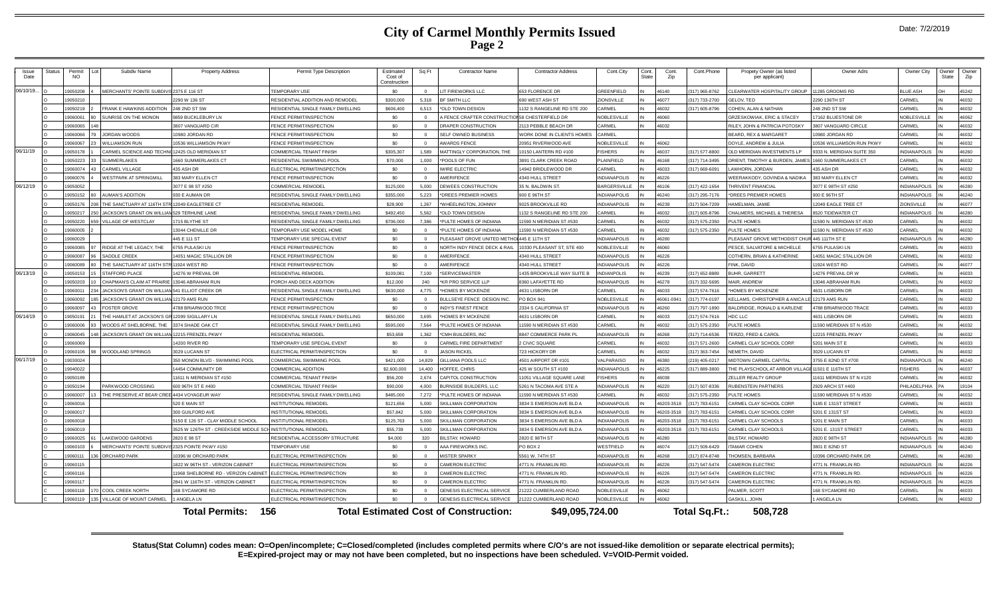|  |  | Date: 7/2/2019 |
|--|--|----------------|
|--|--|----------------|

| Issue<br>Date | Status | Permit<br><b>NO</b> | Subdiv Name                                           | <b>Property Address</b>                              | Permit Type Description                                     | Estimated<br>Cost of<br>Construction | Sq Ft    | <b>Contractor Name</b>                                 | <b>Contractor Address</b>                  | Cont.City                                | Cont.<br>State | Cont.<br>Zip   | Cont.Phone                      | Propety Owner (as listed<br>per applicant) | Owner Adrs                                 | Owner City                        | Owner<br>State | Owner<br>Zip   |
|---------------|--------|---------------------|-------------------------------------------------------|------------------------------------------------------|-------------------------------------------------------------|--------------------------------------|----------|--------------------------------------------------------|--------------------------------------------|------------------------------------------|----------------|----------------|---------------------------------|--------------------------------------------|--------------------------------------------|-----------------------------------|----------------|----------------|
| 06/10/19.     |        | 9050208             | <b>MERCHANTS' POINTE SUBDIVIS</b>                     | 2375 E 116 ST                                        | <b>EMPORARY USE</b>                                         | \$0                                  |          | <b>IT FIREWORKS LLC</b>                                | 553 FLORENCE DR                            | REENFIELD                                |                | 46140          | 317) 965-8762                   | <b>CLEARWATER HOSPITALITY GROUP</b>        | 1285 GROOMS RD                             | <b>BLUE ASH</b>                   |                | 45242          |
|               |        | 9050210             |                                                       | 2290 W 136 ST                                        | <b>ESIDENTIAL ADDITION AND REMODEL</b>                      | \$300,000                            | 5.318    | BF SMITH LLC                                           | 90 WEST ASH ST                             | <b>ZIONSVILLE</b>                        |                | 46077          | 317) 733-2700                   | <b>GELOV, TED</b>                          | 290 136TH ST                               | CARMEL                            |                | 46032          |
|               |        | 19050219            | FRANK E HAWKINS ADDITION                              | 248 2ND ST SW                                        | RESIDENTIAL SINGLE FAMILY DWELLING                          | \$606,400                            | 6.513    | OLD TOWN DESIGN                                        | 132 S RANGELINE RD STE 200                 | ARMEL                                    |                | 46032          | 317) 605-8796                   | COHEN, ALAN & NATHAN                       | 248 2ND ST SW                              | CARMEL                            |                | 46032          |
|               |        | 19060061            | SUNRISE ON THE MONON                                  | 9859 BUCKLEBURY LN                                   | <b>ENCE PERMIT/INSPECTION</b>                               | \$0                                  | $\Omega$ | <b>I FENCE CRAFTER CONSTRUCTION 58 CHESTERFIELD DR</b> |                                            | NOBLESVILLE                              |                | 46060          |                                 | GRZESKOWIAK, ERIC & STACEY                 | 7162 BLUESTONE DR                          | <b>VOBLESVILLE</b>                |                | 46062          |
|               |        | 19060065            |                                                       | 3807 VANGUARD CIR                                    | <b>ENCE PERMIT/INSPECTION</b>                               | \$0                                  | $\Omega$ | ORAPER CONSTRUCTION                                    | 113 PERRI E REACH DE                       | <b>CARMEL</b>                            |                | 16032          |                                 | RILEY, JOHN & PATRICIA POTOSKY             | 807 VANGUARD CIRCLE                        | CARMEL                            |                | 46032          |
|               |        | 19060066            | JORDAN WOODS                                          | 10980 JORDAN RD                                      | <b>ENCE PERMIT/INSPECTION</b>                               | \$0                                  | $\Omega$ | SELF OWNED BUSINESS                                    | VORK DONE IN CLIENTS HOMES                 | <b>ARMEL</b>                             |                |                |                                 | BEARD, REX & MARGARET                      | 0980 JORDAN RD                             | CARMEL                            |                | 46032          |
|               |        | 3009091             | <b><i>NILLIAMSON RUN</i></b>                          | 10536 WILLIAMSON PKWY                                | <b>FNCE PERMIT/INSPECTION</b>                               | so.                                  |          | WARDS FENCE                                            | 20951 RIVERWOOD AVE                        | <b>NOBLESVILLE</b>                       |                | 46062          |                                 | DOYLE, ANDREW & JULIA                      | 0536 WILLIAMSON RUN PKWY                   | CARMEL                            |                | 46032          |
| 06/11/19      |        | 19050178            | CARMEL SCIENCE AND TECHN                              | 12425 OLD MERIDIAN ST                                | <b>COMMERCIAL TENANT FINISH</b>                             | \$305,307                            | 1.589    | MATTINGLY CORPORATION. THE                             | 0150 LANTERN RD #100                       | <b>ISHERS</b>                            |                | 46037          | 317) 577-8800                   | OLD MERIDIAN INVESTMENTS LP                | 333 N. MERIDIAN SUITE 350                  | <b>NDIANAPOLIS</b>                |                | 46260          |
|               |        | 19050223            | SUMMERLAKES                                           | 1660 SUMMERLAKES CT                                  | RESIDENTIAL SWIMMING POOL                                   | \$70,000                             | 1,000    | *POOLS OF FUN                                          | 891 CLARK CREEK ROAD                       | I AINFIFLD                               |                | 46168          | (317) 714-3495                  | ORIENT, TIMOTHY & BURDEN, JAME:            | 660 SUMMERLAKES CT                         | CARMEL                            |                | 46032          |
|               |        | 9060074             | CARMEL VILLAGE                                        | 435 ASH DR                                           | <b>I ECTRICAL PERMIT/INSPECTION</b>                         | S <sub>0</sub>                       | $\Omega$ | <b><i>NIRE ELECTRIC</i></b>                            | 4942 BRIDLEWOOD DR                         | <b>ARMEL</b>                             |                | 46033          | 317) 669-6091                   | AWHORN. JORDAN                             | 35 ASH DR                                  | CARMEL                            |                | 46032          |
|               |        | 9060076             | <b>VESTPARK AT SPRINGMILL</b>                         | 383 MARY ELLEN CT                                    | <b>ENCE PERMIT/INSPECTION</b>                               | \$0                                  | $\Omega$ | MERIFENCE                                              | <b>1340 HULL STREET</b>                    | <b>NDIANAPOLIS</b>                       |                | 46226          |                                 | <b>NEERAKKODY, GOVINDA &amp; NADIKA</b>    | 83 MARY ELLEN CT                           | CARMEL                            |                | 46032          |
| 06/12/19      |        | 9050052             |                                                       | 3077 E 98 ST #250                                    | <b>COMMERCIAL REMODE</b>                                    | \$125,000                            | 5.000    | EWEES CONSTRUCTION                                     | <b>35 N. BALDWIN ST</b>                    | <b>ARGERSVILLE</b>                       |                | 46106          | 317) 422-1654                   | <b>HRIVENT FINANCIAL</b>                   | 077 E 98TH ST #250                         | <b>NDIANAPOLIS</b>                |                | 46280          |
|               |        | 19050152            | <b>AUMAN'S ADDITION</b>                               | 930 E AUMAN DR                                       | RESIDENTIAL SINGLE FAMILY DWELLING                          | \$355,000                            | 5,223    | <b>DREES PREMIER HOMES</b>                             | 900 E 96TH ST                              | NDIANAPOLIS                              |                | 46240          | (317) 295-7176                  | *DREES PREMIER HOMES                       | 900 E 96TH ST                              | <b>NDIANAPOLIS</b>                |                | 46240          |
|               |        | 19050176            | THE SANCTUARY AT 116TH STR                            | 12049 FAGLETREE CT                                   | RESIDENTIAL REMODEL                                         | \$28,900                             | 1.267    | WHEELINGTON, JOHNNY                                    | 9025 BROOKVILLE RD                         | NDIANAPOLIS                              |                | 46239          | 317) 504-7209                   | HAMELMAN, JAMIE                            | 2049 FAGLE TREE CT                         | <b>IONSVILLE</b>                  |                | 46077          |
|               |        | 19050217            | JACKSON'S GRANT ON WILLIAN 529 TERHUNE LANE           |                                                      | RESIDENTIAL SINGLE FAMILY DWELLING                          | \$492,450                            | 5.562    | OLD TOWN DESIGN                                        | 132 S RANGELINE RD STE 200                 | <b>ARMEI</b>                             |                | 46032          | 317) 605-8796                   | CHALMERS, MICHAEL & THERESA                | 520 TIDEWATER CT                           | <b>NDIANAPOLIS</b>                |                | 46280          |
|               |        | 19050220            | <b>ILLAGE OF WESTCLAY</b>                             | 1715 BLYTHE ST                                       | RESIDENTIAL SINGLE FAMILY DWELLING                          | \$706,000                            | 7,386    | PULTE HOMES OF INDIANA                                 | 1590 N MERIDIAN ST #530                    | ARMEI                                    |                | 46032          | 317) 575-2350                   | PULTE HOMES                                | 1590 N. MERIDIAN ST #530                   | CARMEL                            |                | 46032          |
|               |        | 19060005            |                                                       | 13044 CHENILLE DR                                    | <b>EMPORARY USE MODEL HOME</b>                              | S <sub>0</sub>                       | $\cap$   | PULTE HOMES OF INDIANA                                 | 1590 N MERIDIAN ST #530                    | <b>ARMEL</b>                             |                | 46032          | 317) 575-2350                   | PULTE HOMES                                | 1590 N. MERIDIAN ST #530                   | <b>ARMEL</b>                      |                | 46032          |
|               |        | 19060029            |                                                       | 445 E 111 ST                                         | <b>FEMPORARY USE SPECIAL EVENT</b>                          | \$0                                  | $\Omega$ | PLEASANT GROVE UNITED METHOL 445 E 11TH ST             |                                            | <b>NDIANAPOLIS</b>                       |                | 46280          |                                 | PLEASANT GROVE METHODIST CHU               | 445 111TH ST E                             | <b>NDIANAPOLIS</b>                |                | 46280          |
|               |        | 19060085            | RIDGE AT THE LEGACY. THE                              | 6755 PULASKI LN                                      | <b>ENCE PERMIT/INSPECTION</b>                               | \$0                                  | $\Omega$ | <b>VORTH INDY FENCE DECK &amp; RAI</b>                 | 0330 PLEASANT ST, STE 400                  | <b>JOBLESVILLE</b>                       |                | 16060          |                                 | PESCE, SALVATORE & MICHELLE                | 755 PULASKI LN                             | CARMEL                            |                | 46033          |
|               |        | 30060081            | SADDLE CREEK                                          | 14051 MAGIC STALLION DR                              | <b>ENCE PERMIT/INSPECTION</b>                               | \$0                                  | $\Omega$ | <b>MERIFENCE</b>                                       | <b>1340 HULL STREET</b>                    | NDIANAPOLIS                              |                | 46226          |                                 | COTHERN, BRIAN & KATHERINE                 | 4051 MAGIC STALLION DR                     | CARMEL                            |                | 46032          |
|               |        | 9060089             | THE SANCTUARY AT 116TH STR                            | 11924 WEST RD                                        | <b>ENCE PERMIT/INSPECTION</b>                               | so.                                  |          | MERIFENCE                                              | <b>1340 HULL STREET</b>                    | <b>NDIANAPOLIS</b>                       |                | 46226          |                                 | FINK, DAVID                                | 1924 WEST RD                               | CARMEL                            |                | 46077          |
| 06/13/19      |        | 9050153             | <b>STAFFORD PLACE</b>                                 | 14276 W PREVAIL DR                                   | RESIDENTIAL REMODEL                                         | \$109,081                            | 7.100    | <b>SERVICEMASTER</b>                                   | 435 BROOKVILLE WAY SUITE E                 | NDIANPOLIS                               |                | 46239          | 317) 652-8889                   | <b>BUHR, GARRETT</b>                       | 4276 PREVAIL DR W                          | CARMEL                            |                | 46033          |
|               |        | 9050203             | <b>CHAPMAN'S CLAIM AT PRAIRIE</b>                     | 13046 ABRAHAM RUN                                    | ORCH AND DECK ADDITION                                      | \$12,000                             | 240      | KR PRO SERVICE LLP                                     | 3360 LAFAYETTE RD                          | <b>NDIANAPOLIS</b>                       |                | 46278          | 317) 332-5695                   | <b>MAIR, ANDREW</b>                        | 3046 ABRAHAM RUN                           | CARMEL                            |                | 46032          |
|               |        | 9060011             | <b>IACKSON'S GRANT ON WILLIAN 541 ELLIOT CREEK DR</b> |                                                      | RESIDENTIAL SINGLE FAMILY DWELLING                          | \$630,000                            | 4.775    | HOMES BY MCKENZIE                                      | 4631 LISBORN DR                            | <b>ARMEL</b>                             |                | 16033          | 317) 574-7616                   | <b>HOMES BY MCKENZIE</b>                   | <b>1631 LISBORN DR</b>                     | CARMEL                            |                | 46033          |
|               |        | 9060092             | <b>IACKSON'S GRANT ON WILLIAN 12179 AMS RUN</b>       |                                                      | <b>ENCE PERMIT/INSPECTION</b>                               | \$0                                  |          | ULLSEYE FENCE DESIGN INC                               | PO BOX 941                                 | <b>VOBLESVILLE</b>                       |                | 46061-09       | 317) 774-0197                   | <b>KELLAMS, CHRISTOPHER &amp; ANICA</b>    | 2179 AMS RUN                               | CARMEL                            |                | 46032          |
|               |        | 906009              | <b>FOSTER GROVE</b>                                   | 4788 BRIARWOOD TRCE                                  | <b>FNCE PERMIT/INSPECTION</b>                               | \$0                                  | $\Omega$ | <b>NDY'S FINEST FENCE</b>                              | 334 S CALIFORNIA ST                        | <b>INDIANAPOLIS</b>                      |                | 46260          | 317) 797-1890                   | <b>BALDRIDGE, RONALD &amp; KARLENE</b>     | 788 BRIARWOOD TRACE                        | CARMEL                            |                | 46033          |
| 06/14/19      |        | 19050191            | THE HAMLET AT JACKSON'S GR                            | 12099 SIGILLARY LN                                   | RESIDENTIAL SINGLE FAMILY DWELLING                          | \$650,000                            | 3.695    | HOMES BY MCKENZIE                                      | 4631 LISBORN DR                            | <b>ARMEL</b>                             |                | 46033          | (317) 574-7616                  | HDC LLC                                    | <b>1631 LISBORN DR</b>                     | CARMEL                            |                | 46033          |
|               |        | 9060006             | WOODS AT SHELBORNE. THE                               | 3374 SHADE OAK CT                                    | ESIDENTIAL SINGLE FAMILY DWELLING                           | \$595,000                            | 7.564    | PULTE HOMES OF INDIANA                                 | 1590 N MERIDIAN ST #530                    | <b>ARMEL</b>                             |                | 46032          | 317) 575-2350                   | <b>ULTE HOMES</b>                          | 1590 MERIDIAN ST N #530                    | CARMEL                            |                | 46032          |
|               |        | 9060045             | JACKSON'S GRANT ON WILLIAN 12215 FRENZEL PKWY         |                                                      | RESIDENTIAL REMODEL                                         | \$53,659                             | 1.362    | CMH BUILDERS, INC                                      | 8847 COMMERCE PARK PL                      | NDIANAPOLIS                              |                | 46268          | 317) 714-6536                   | <b>ERZO, FRED &amp; CAROL</b>              | 2215 FRENZEL PKWY                          | CARMEL                            |                | 46032          |
|               |        | 19060069            |                                                       | 14200 RIVER RD                                       | <b>FEMPORARY USE SPECIAL EVENT</b>                          | SO.                                  | $\Omega$ | CARMEL FIRE DEPARTMENT                                 | <b>CIVIC SQUARE</b>                        | <b>ARMEL</b>                             |                | 46032          | 317) 571-2600                   | CARMEL CLAY SCHOOL CORP.                   | 5201 MAIN ST E                             | CARMEL                            |                | 46033          |
|               |        | 9060106             | WOODLAND SPRINGS                                      | 3029 LUCANN ST                                       | LECTRICAL PERMIT/INSPECTION                                 | SO.                                  | $\Omega$ | <b>ASON RICKEL</b>                                     | 723 HICKORY DR                             | CARMEL                                   |                | 46032          | (317) 363-7454                  | NEMETH, DAVID                              | 3029 LUCANN ST                             | CARMEL                            |                | 46032          |
| 06/17/19      |        | 19030024            |                                                       | 350 MONON BLVD - SWIMMING POOL                       | COMMERCIAL SWIMMING POOL                                    | \$421,000                            | 14,829   | ILLIANA POOLS LLC                                      | 501 AIRPORT DR #101                        | ALPARAISC                                |                | 46380          | 219) 405-0217                   | <b><i>IIDTOWN CARMEL CAPITAL</i></b>       | 755 E 82ND ST #700                         | NDIANAPOLI:                       |                | 46240          |
|               |        | 19040022            |                                                       | 14454 COMMUNITY DR                                   | <b>COMMERCIAL ADDITION</b>                                  | \$2,600,000                          | 14,400   | HOFFEE, CHRIS                                          | 425 W SOUTH ST #100                        | INDIANAPOLIS                             |                | 46225          | 317) 889-3800                   | THE PLAYSCHOOL AT ARBOR VILLAO             | 11501 F 116TH ST                           | <b>FISHERS</b>                    |                | 46037          |
|               |        | 19050189            |                                                       | 11611 N MERIDIAN ST #150                             | <b>COMMERCIAL TENANT FINISH</b>                             | \$56,200                             | 2.674    | CAPITOL CONSTRUCTION                                   | 1051 VILLAGE SQUARE LANE                   | <b>ISHERS</b>                            |                | 46038          |                                 | ZELLER REALTY GROUP                        | 1611 MERIDIAN ST N #120                    | CARMEL                            |                | 46032          |
|               |        | 19050194            | PARKWOOD CROSSING                                     | 600 96TH ST E #400                                   | COMMERCIAL TENANT FINISH                                    | \$90,000                             | 4,000    | <b>BURNSIDE BUILDERS, LLC</b>                          | 5261 N TACOMA AVE STE A                    | NDIANAPOLIS                              |                | 46220          | 317) 507-8336                   | RUBENSTEIN PARTNERS                        | 929 ARCH ST #400                           | PHILADELPHIA                      |                | 19104          |
|               |        | 19060007            | THE PRESERVE AT REAR CREI                             | 4434 VOYAGEUR WAY                                    | RESIDENTIAL SINGLE FAMILY DWELLING                          | \$485,000                            | 7 2 7 2  | PULTE HOMES OF INDIANA                                 | 1590 N MERIDIAN ST #530                    | ARMEI                                    |                | 46032          | 317) 575-2350                   | PULTE HOMES                                | 1590 MERIDIAN ST N #530                    | <b>ARMEI</b>                      |                | 46032          |
|               |        | 19060016            |                                                       | 520 E MAIN ST                                        | NSTITUTIONAL REMODEL                                        | \$121.656                            | 5.000    | SKILLMAN CORPORATION                                   | 3834 S EMERSON AVE BLD A                   | <b>NDIANAPOLIS</b>                       |                | 46203-351      | 317) 783-6151                   | CARMEL CLAY SCHOOL CORF                    | 185 E 131ST STREET                         | CARMEL                            |                | 46033          |
|               |        | 1906001             |                                                       | 300 GUILFORD AVE                                     | NSTITUTIONAL REMODEL                                        | \$57,842                             | 5.000    | KILLMAN CORPORATION                                    | 3834 S EMERSON AVE BLD A                   | NDIANAPOLIS                              |                | 46203-35       | 317) 783-6151                   | CARMEL CLAY SCHOOL CORP                    | 5201 E 131ST ST                            | CARMEL                            |                | 46033          |
|               |        | 19060018            |                                                       | 5150 E 126 ST - CLAY MIDDLE SCHOOL                   | NSTITUTIONAL REMODEL                                        | \$125,763                            | 5.000    | SKILLMAN CORPORATION                                   | 3834 S EMERSON AVE BLD A                   | NDIANAPOLIS                              |                | 46203-3518     | 317) 783-6151                   | CARMEL CLAY SCHOOLS                        | 5201 E MAIN ST                             | CARMEL                            |                | 46033          |
|               |        | 1906001             |                                                       | 3525 W 126TH ST - CREEKSIDE MIDDLE SC                | <b>NSTITUTIONAL REMODEL</b>                                 | \$55,739                             | 5.000    | SKILLMAN CORPORATION                                   | 3834 S EMERSON AVE BLD A                   | <b>NDIANAPOLIS</b>                       |                | 46203-351      | 317) 783-6151                   | CARMEL CLAY SCHOOLS                        | 5201 E. 131ST STREET                       | CARMEL                            |                | 46033          |
|               |        | 19060025            | <b>LAKEWOOD GARDENS</b>                               | 2820 E 98 ST                                         | RESIDENTIAL ACCESSORY STRUCTURE                             | \$4,000                              | 320      | <b>BILSTAY, HOWARD</b>                                 | 2820 E 98TH ST                             | NDIANAPOLIS                              |                | 46280          |                                 | <b>BILSTAY, HOWARD</b>                     | 2820 E 98TH ST                             | <b>NDIANAPOLIS</b>                |                | 46280          |
|               |        | 19060103            | <b>MERCHANTS' POINTE SUBDIVIS</b>                     | 2325 POINTE PKWY #150                                | <b>EMPORARY USE</b>                                         | \$0                                  | $\Omega$ | AAA FIREWORKS INC.                                     | PO BOX 2                                   | VESTFIELD                                |                | 46074          | 317) 509-6429                   | <b>TAMAR COHEN</b>                         | 801 E 82ND ST                              | NDIANAPOLIS                       |                | 46240          |
|               |        | 9060111             | <b>ORCHARD PARK</b>                                   | 10396 W ORCHARD PARK                                 | LECTRICAL PERMIT/INSPECTION                                 | s <sub>0</sub>                       | $\Omega$ | <b>MISTER SPARKY</b>                                   | 5561 W. 74TH ST                            | <b>NDIANAPOLIS</b>                       |                | 46268          | 317) 874-8748                   | HOMSEN RARRARA                             | 0396 ORCHARD PARK DR                       | ARMEI                             |                | 46280          |
|               |        | 19060115            |                                                       | 1822 W 96TH ST - VERIZON CABINET                     | ELECTRICAL PERMIT/INSPECTION                                | \$0                                  | $\Omega$ | CAMERON ELECTRIC                                       | 4771 N. FRANKLIN RD                        | NDIANAPOLIS                              |                | 46226          | 317) 547-5474                   | CAMERON ELECTRIC                           | 1771 N. FRANKLIN RD                        | <b>NDIANAPOLIS</b>                |                | 46226          |
|               |        | 19060116<br>1906011 |                                                       | 11968 SHELBORNE RD - VERIZON CABII                   | LECTRICAL PERMIT/INSPECTION                                 | \$0<br>SO                            |          | <b>AMERON ELECTRIC</b><br>CAMERON ELECTRIC             | 4771 N. FRANKLIN RD<br>4771 N. FRANKLIN RD | NDIANAPOLIS                              |                | 46226<br>46226 | 317) 547-5474<br>(317) 547-5474 | CAMERON ELECTRIC                           | 1771 N. FRANKLIN RE<br>4771 N. FRANKLIN RD | <b>NDIANAPOLIS</b><br>NDIANAPOLIS |                | 46226          |
|               |        | 19060118            | COOL CREEK NORTH                                      | 2841 W 116TH ST - VERIZON CABINET<br>168 SYCAMORE RD | LECTRICAL PERMIT/INSPECTION<br>ELECTRICAL PERMIT/INSPECTION | \$0                                  |          | <b>ENESIS ELECTRICAL SERVICE</b>                       | 1222 CUMBERLAND ROAD                       | <b>NDIANAPOLIS</b><br><b>VOBLESVILLE</b> |                | 46062          |                                 | CAMERON ELECTRIC<br>PALMER, SCOTT          | <b>168 SYCAMORE RD</b>                     | CARMEL                            |                | 46226<br>46033 |
|               |        | 19060119            | <b>VILLAGE OF MOUNT CARMEL</b>                        | ANGELA LN                                            | ELECTRICAL PERMIT/INSPECTION                                | \$0                                  |          | <b>GENESIS ELECTRICAL SERVICE</b>                      | 1222 CUMBERLAND ROAD                       | <b>JOBLESVILLE</b>                       |                | 46062          |                                 | GASKILL, JOHN                              | ANGELA LN                                  | CARMEL                            |                | 46032          |
|               |        |                     |                                                       |                                                      |                                                             |                                      |          |                                                        |                                            |                                          |                |                |                                 |                                            |                                            |                                   |                |                |
|               |        |                     |                                                       | <b>Total Permits:</b><br>156                         |                                                             |                                      |          | <b>Total Estimated Cost of Construction:</b>           | \$49,095,724.00                            |                                          |                |                | Total Sq.Ft.:                   | 508,728                                    |                                            |                                   |                |                |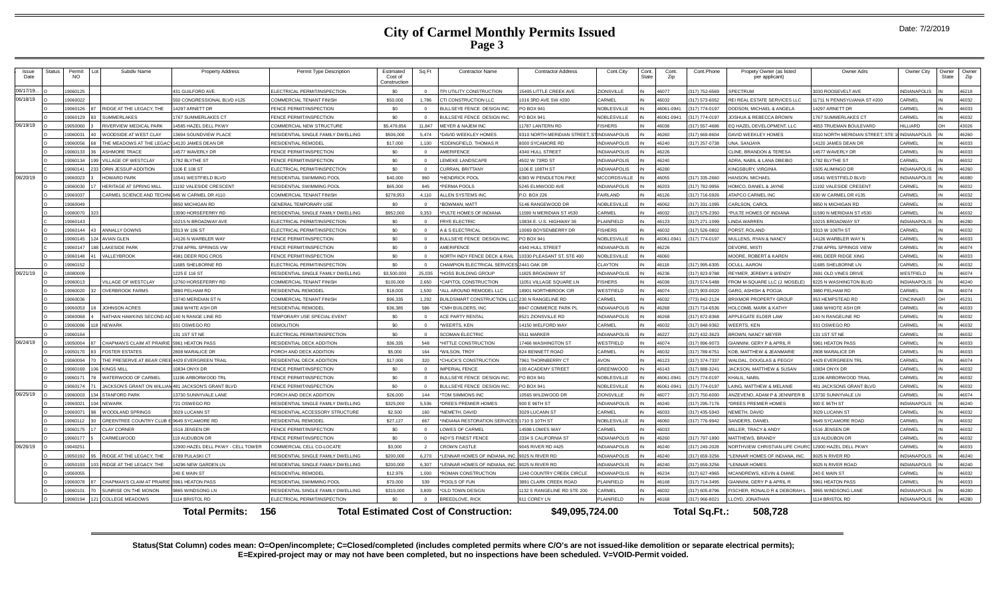|  |  | Date: 7/2/2019 |
|--|--|----------------|
|--|--|----------------|

| Issue<br>Date | Status | Permit<br><b>NO</b> | Subdiv Name                   | <b>Property Address</b>            | Permit Type Description             | Estimated<br>Cost of<br>Construction | Sq Ft          | <b>Contractor Name</b>                          | <b>Contractor Address</b>     | Cont.City           | Cont.<br>State | Cont.<br>Zip | Cont.Phone     | Propety Owner (as listed<br>per applicant) | <b>Owner Adrs</b>              | Owner City          | Owner<br>State | Owner<br>Zip |
|---------------|--------|---------------------|-------------------------------|------------------------------------|-------------------------------------|--------------------------------------|----------------|-------------------------------------------------|-------------------------------|---------------------|----------------|--------------|----------------|--------------------------------------------|--------------------------------|---------------------|----------------|--------------|
| 06/17/19      |        | 9060125             |                               | 431 GUILFORD AVE                   | ELECTRICAL PERMIT/INSPECTION        | \$0                                  |                | TPI UTILITY CONSTRUCTION                        | <b>15405 LITTLE CREEK AVE</b> | ZIONSVILLE          |                | 46077        | (317) 752-6569 | PECTRUM                                    | 3030 ROOSEVELT AVE             | INDIANAPOLIS        |                | 46218        |
| 06/18/19      |        | 9060022             |                               | 550 CONGRESSIONAL BLVD #125        | <b>COMMERCIAL TENANT FINISH</b>     | \$50,000                             | 1.786          | CTI CONSTRUCTION LLC                            | 016 3RD AVE SW #200           | CARMEL              |                | 46032        | 317) 573-6052  | EI REAL ESTATE SERVICES LLC                | 11711 N PENNSYLVANIA ST #200   | CARMEL              |                | 46032        |
|               |        | 9060126             | RIDGE AT THE LEGACY. THE      | 4297 ARNETT DR                     | <b>ENCE PERMIT/INSPECTION</b>       | \$0                                  | $\Omega$       | BULLSEYE FENCE DESIGN INC                       | PO BOX 941                    | <b>VOBLESVILLE</b>  |                | 46061-094    | 317) 774-0197  | ODSON, MICHAEL & ANGELA                    | 4297 ARNETT DR                 | CARMEL              |                | 46033        |
|               |        | 9060129             | SUMMERLAKES                   | 767 SUMMERLAKES CT                 | FENCE PERMIT/INSPECTION             | \$0                                  | $\Omega$       | BULLSEYE FENCE DESIGN INC.                      | PO BOX 941                    | NOBLESVILLE         |                | 46061-0941   | 317) 774-0197  | OSHUA & REBECCA BROWN                      | 767 SUMMERLAKES CT             | CARMEL              |                | 46032        |
| 06/19/19      |        | 9050060             | RIVERVIEW MEDICAL PARK        | 4585 HAZEL DELL PKWY               | COMMERCIAL NEW STRUCTURE            | \$5.479.856                          | 11 847         | MEYER & NAJEM INC                               | 1787 LANTERN RD               | <b>ISHERS</b>       |                | 46038        | 317) 557-4686  | O HAZEL DEVELOPMENT LLC                    | <b>4653 TRUEMAN ROULEVARD</b>  | <b>III LIARD</b>    |                | 43026        |
|               |        | 9060031             | WOODSIDE AT WEST CLAY         | 3694 SOUNDVIEW PLACE               | ESIDENTIAL SINGLE FAMILY DWELLING   | \$506,000                            | 5.474          | *DAVID WEEKLEY HOMES                            | 310 NORTH MERIDIAN STREET.    | <b>INDIANAPOLIS</b> |                | 46260        | 317) 669-8604  | AVID WEEKLEY HOMES                         | 310 NORTH MERIDIAN STREET, STE | <b>NDIANAPOLI</b>   |                | 46260        |
|               |        | 9060056             | THE MEADOWS AT THE LEGA(      | 14120 JAMES DEAN DR                | RESIDENTIAL REMODE                  | \$17,000                             | 1,100          | *EDDINGFIELD, THOMAS R                          | <b>8000 SYCAMORE RE</b>       | NDIANAPOLIS         |                | 46240        | 317) 257-0738  | NA, SANJAYA                                | 14120 JAMES DEAN DR            | CARMEL              |                | 46033        |
|               |        | 9060133             | <b>ASHMORE TRACE</b>          | 14577 WAVERLY DR                   | FENCE PERMIT/INSPECTION             | \$0                                  | $\Omega$       | AMERIFENCE                                      | 4340 HULL STREET              | NDIANAPOLIS         |                | 46226        |                | LINE, BRANDON & TERESA                     | 14577 WAVERLY DR               | CARMEL              |                | 46033        |
|               |        | 9060134             | 9 VILLAGE OF WESTCLAY         | 1782 BLYTHE ST                     | <b>FENCE PERMIT/INSPECTION</b>      | \$0                                  | $\Omega$       | <b>LEMEKE LANDSCAPE</b>                         | 4502 W 73RD ST                | <b>NDIANAPOLIS</b>  |                | 46240        |                | DRA, NABIL & LANA DBEIBO                   | 782 BLYTHE ST                  | CARMEL              |                | 46032        |
|               |        | 9060141             | ORIN JESSUP ADDITION          | 106 E 108 ST                       | FLECTRICAL PERMIT/INSPECTION        | SO.                                  | $\Omega$       | <b>CURRAN, BRITTANY</b>                         | 106 F 108TH ST                | NDIANAPOLIS         |                | 46280        |                | <b>KINGSBURY, VIRGINIA</b>                 | 1505 ALIMINGO DR               | <b>NDIANAPOLIS</b>  |                | 46260        |
| 06/20/19      |        | 9060023             | <b>HOWARD PARK</b>            | 0541 WESTFIELD BLVD                | RESIDENTIAL SWIMMING POOL           | \$40,000                             | 960            | *HENDRICK POOL                                  | 6383 W PENDLETON PIKE         | <b>ACCORDSVILLE</b> |                | 46055        | 317) 335-2660  | <b>IANSON, MICHAEL</b>                     | 10541 WESTFIELD BLVD           | <b>NDIANAPOLIS</b>  |                | 46080        |
|               |        | 9060030             | HERITAGE AT SPRING MILL       | 1192 VALESIDE CRESCENT             | ESIDENTIAL SWIMMING POOL            | \$65,000                             | 845            | *PERMA POOLS                                    | <b>245 ELMWOOD AVE</b>        | NDIANAPOLIS         |                | 46203        | 317) 782-9956  | OMCO, DANIEL & JAYNE                       | 1192 VALESIDE CRESEN'          | CARMEL              |                | 46032        |
|               |        | 3000097             | CARMEL SCIENCE AND TECHN      | 645 W CARMEL DR #110               | COMMERCIAL TENANT FINISH            | \$278.953                            | 4,110          | ALLEN SYSTEMS INC                               | P.O. BOX 226                  | AIRLAND             |                | 46126        | (317) 716-5926 | <b>TAPCO CARMEL INC</b>                    | 630 W CARMEL DR #135           | CARMEL              |                | 46032        |
|               |        | 9060049             |                               | <b>8850 MICHIGAN RD</b>            | GENERAL TEMPORARY LISE              | \$0                                  | $\Omega$       | *BOWMAN, MATT                                   | 5146 RANGEWOOD DR             | NORI ESVILLE        |                | 46062        | 317) 331-1095  | ARI SON CAROL                              | 9850 N MICHIGAN RD             | CARMEL              |                | 46032        |
|               |        | 9060070             |                               | 13090 HORSEFERRY RD                | RESIDENTIAL SINGLE FAMILY DWELLING  | \$952,000                            | 9.353          | *PULTE HOMES OF INDIANA                         | 1590 N MERIDIAN ST #530       | <b>ARMEL</b>        |                | 46032        | 317) 575-2350  | <b>PULTE HOMES OF INDIANA</b>              | 1590 N MERIDIAN ST #530        | CARMEL              |                | 46032        |
|               |        | 9060143             |                               | 10215 N BROADWAY AVE               | <b>ELECTRICAL PERMIT/INSPECTION</b> | \$0                                  | $\Omega$       | <b>FRYE ELECTRIC</b>                            | 10834 E. U.S. HIGHWAY 36      | <b>I AINFIFLD</b>   |                | 46123        | 317) 271-1099  | <b>NDA WARREN</b>                          | 10215 BROADWAY ST              | <b>NDIANAPOLIS</b>  |                | 46280        |
|               |        | 9060144             | ANNALLY DOWNS                 | 3313 W 106 ST                      | LECTRICAL PERMIT/INSPECTION         | so.                                  | $\Omega$       | A & S ELECTRICAL                                | 10069 BOYSENBERRY DR          | <b>ISHERS</b>       |                | \$6032       | 317) 526-0802  | ORST. ROLAND                               | 3313 W 106TH ST                | CARMEL              |                | 46032        |
|               |        | 9060145             | 24 AVIAN GLEN                 | 14126 N WARBLER WAY                | <b>ENCE PERMIT/INSPECTION</b>       | \$0                                  | $\Omega$       | BULLSEYE FENCE DESIGN INC                       | <b>PO BOX 941</b>             | <b>VOBLESVILLE</b>  |                | 16061-094    | 317) 774-0197  | ULLENS, RYAN & NANCY                       | 14126 WARBLER WAY N            | CARME               |                | 46033        |
|               |        | 9060147             | <b>LAKESIDE PARK</b>          | 2768 APRIL SPRINGS VW              | FENCE PERMIT/INSPECTION             | \$0                                  | $\Omega$       | AMERIFENCE                                      | 1340 HULL STREET              | <b>NDIANAPOLIS</b>  |                | 46226        |                | <b>DEVORE, MISTI</b>                       | 2768 APRIL SPRINGS VIEW        | CARMEI              |                | 46074        |
|               |        | 9060148             | VALLEYBROOK                   | 4981 DEER RDG CROS                 | FENCE PERMIT/INSPECTION             | \$0                                  | $\Omega$       | NORTH INDY FENCE DECK & RAIL                    | 0330 PLEASANT ST, STE 400     | <b>VOBLESVILLE</b>  |                | 46060        |                | <b>MOORE, ROBERT &amp; KAREN</b>           | 4981 DEER RIDGE XING           | CARMEL              |                | 46033        |
|               |        | 9060152             |                               | 1685 SHELBORNE RD                  | <b>ELECTRICAL PERMIT/INSPECTION</b> | \$0                                  | $\Omega$       | CHAMPION ELECTRICAL SERVICES 2441 OAK DR        |                               | <b>LI AYTON</b>     |                | 46118        | 317) 995-6305  | CIIII AARON                                | 1685 SHELBORNE LN              | CARMEL              |                | 46032        |
| 06/21/19      |        | <b>POOROR</b>       |                               | 1225 E 116 ST                      | RESIDENTIAL SINGLE FAMILY DWELLING  | \$3,500,000                          | 25,035         | *HOSS BUILDING GROUP                            | 1825 BROADWAY ST              | NDIANAPOLIS         |                | 46236        | 317) 823-9788  | EYMER, JEREMY & WENDY                      | <b>2691 OLD VINES DRIVE</b>    | <b>NESTFIELD</b>    |                | 46074        |
|               |        | 9060013             | <b>VILLAGE OF WESTCLAY</b>    | 12760 HORSEFERRY RD                | COMMERCIAL TENANT FINISH            | \$100,000                            | 2.650          | *CAPITOL CONSTRUCTION                           | 1051 VILLAGE SQUARE LN        | <b>FISHERS</b>      |                | 46038        | 317) 574-5488  | ROM M-SQUARE LLC (J. MOSELE)               | 3225 N WASHINGTON BLVD         | <b>NDIANAPOLIS</b>  |                | 46240        |
|               |        | 9060020             | <b>OVERBROOK FARMS</b>        | 8880 PELHAM RD                     | RESIDENTIAL REMODEL                 | \$18,000                             | 1.500          | *ALL AROUND REMODEL LLC                         | 8901 NORTHBROOK CIF           | <b>NESTFIELD</b>    |                | 46074        | 317) 903-0020  | ARG, ASHISH & POOJA                        | 3880 PELHAM RD                 | CARMEL              |                | 46074        |
|               |        | 9060036             |                               | 13740 MERIDIAN ST N                | COMMERCIAL TENANT FINISH            | \$96,335                             | 1.292          | BUILDSMART CONSTRUCTION. LLC 230 N RANGELINE RD |                               | CARMEL              |                | 46032        | 773) 842-2124  | <b>RIXMOR PROPERTY GROUP</b>               | 953 HEMPSTEAD RD               | <b>CINCINNAT</b>    |                | 45231        |
|               |        | 9060053             | JOHNSON ACRES                 | <b>1868 WHITE ASH DR</b>           | <b>RESIDENTIAL REMODEL</b>          | \$36,385                             | 586            | *CMH BUILDERS. INC                              | <b>8847 COMMERCE PARK PI</b>  | NDIANAPOLIS         |                | 46268        | 317) 714-6536  | OLCOMB MARK & KATHY                        | 1868 WHIOTE ASH DR             | CARMEL              |                | 46033        |
|               |        | 9060068             | NATHAN HAWKINS SECOND A       | 140 N RANGE LINE RD                | <b>FEMPORARY USE SPECIAL EVENT</b>  | SO.                                  | $\Omega$       | <b>ACE PARTY RENTAL</b>                         | <b>8521 ZIONSVILLE RD</b>     | NDIANAPOLIS         |                | 46268        | 317) 872-8368  | PPLEGATE ELDER LAW                         | 140 N RANGELINE RD             | CARMEL              |                | 46032        |
|               |        | 9060086             | 8 NEWARK                      | 931 OSWEGO RD                      | <b>DEMOLITION</b>                   | \$0                                  | $\Omega$       | *WEERTS, KEN                                    | 4150 WELFORD WAY              | <b>CARMEL</b>       |                | 46032        | 317) 848-9362  | <b>/FFRTS, KFN</b>                         | 931 OSWEGO RD                  | CARMEL              |                | 46032        |
|               |        | 9060164             |                               | 131 1ST ST NE                      | <b>ELECTRICAL PERMIT/INSPECTION</b> | \$0                                  | $\Omega$       | SCOMAN ELECTRIC                                 | 5511 MARKER                   | NDIANAPOLIS         |                | 46227        | 317) 432-3623  | ROWN NANCY MEYER                           | 131 1ST ST NE                  | CARMEL              |                | 46032        |
| 06/24/19      |        | 9050004             | CHAPMAN'S CLAIM AT PRAIRIE    | 5961 HEATON PASS                   | RESIDENTIAL DECK ADDITION           | \$36,335                             | 548            | *HITTLE CONSTRUCTION                            | 7466 WASHINGTON ST            | <b>NESTFIELD</b>    |                | 46074        | 317) 896-9073  | ANNINI, GERY P & APRIL R                   | 5961 HEATON PASS               | CARMEI              |                | 46033        |
|               |        | 9050170             | <b>FOSTER ESTATES</b>         | 808 MARALICE DF                    | PORCH AND DECK ADDITION             | \$5,000                              | 164            | *WILSON, TROY                                   | 324 BENNETT ROAD              | CARMEL              |                | 46032        | 317) 789-675   | OB, MATTHEW & JEANMARIE                    | 2808 MARALICE DR               | CARMEI              |                | 46033        |
|               |        | 9060094             | THE PRESERVE AT BEAR CREI     | 4429 EVERGREEN TRAIL               | RESIDENTIAL DECK ADDITION           | \$17,000                             | 320            | *CHUCK'S CONSTRUCTION                           | 7961 THORNBERRY CT            | <b>NOVA</b>         |                | 46123        | 317) 374-7337  | ALDAL, DOUGLAS & PEGGY                     | 4429 EVERGREEN TRI             | CARMEL              |                | 46074        |
|               |        | 9060169             | 06 KINGS MILL                 | 0834 ONYX DR                       | FENCE PERMIT/INSPECTION             | SO.                                  | $\Omega$       | <b>IMPERIAL FENCE</b>                           | 100 ACADEMY STREET            | <b>GREENWOOD</b>    |                | 46143        | 317) 888-3241  | <b>ACKSON, MATTHEW &amp; SUSAN</b>         | 10834 ONYX DR                  | CARMEL              |                | 46032        |
|               |        | 9060171             | WATERWOOD OF CARMEL           | 1196 ARBORWOOD TRL                 | FENCE PERMIT/INSPECTION             | SO.                                  | $\Omega$       | BULLSEYE FENCE DESIGN INC                       | PO BOX 941                    | <b>VOBLESVILLE</b>  |                | 46061-0941   | 317) 774-0197  | HALIL, NABIL                               | 1196 ARBORWOOD TRAIL           | CARMEL              |                | 46032        |
|               |        | 9060174             | JACKSON'S GRANT ON WILLIAM    | 481 JACKSON'S GRANT BLVD           | <b>ENCE PERMIT/INSPECTION</b>       | \$0                                  | $\Omega$       | BULLSEYE FENCE DESIGN INC.                      | PO BOX 941                    | <b>VOBLESVILLE</b>  |                | 46061-0941   | 317) 774-0197  | AING, MATTHEW & MELANIE                    | <b>481 JACKSONS GRANT BLVD</b> | CARMEL              |                | 46032        |
| 06/25/19      |        | 9060003             | 34 STANFORD PARK              | 13730 SUNNYVALE LANE               | ORCH AND DECK ADDITION              | \$26,000                             | 144            | *TOM SIMMONS INC                                | 0565 WILDWOOD DR              | <b>ZIONSVILLE</b>   |                | 46077        | 317) 750-6000  | NZEVENO, ADAM P & JENNIFER F               | 13730 SUNNYVALE LN             | CARMEL              |                | 46074        |
|               |        | 008002              | 04 NEWARK                     | 721 OSWEGO RD                      | RESIDENTIAL SINGLE FAMILY DWELLING  | \$325,000                            | 5,536          | *DREES PREMIER HOMES                            | 900 E 96TH ST                 | <b>INDIANAPOLIS</b> |                | 46240        | (317) 295-7176 | DREES PREMIER HOMES                        | 900 E 96TH ST                  | INDIANAPOLIS        |                | 46240        |
|               |        | 906007              | WOODLAND SPRINGS              | 3029 LUCANN ST                     | RESIDENTIAL ACCESSORY STRUCTURE     | \$2,500                              | 160            | *NEMETH, DAVID                                  | 3029 LUCANN ST                | CARMEL              |                | 46033        | 317) 435-5943  | <b>EMETH, DAVID</b>                        | 3029 LUCANN ST                 | CARMEL              |                | 46032        |
|               |        | 9060112             | <b>GREENTREE COUNTRY CLUB</b> | 9649 SYCAMORE RD                   | RESIDENTIAL REMODEL                 | \$27.127                             | 667            | *INDIANA RESTORATION SERVICES 1710 S 10TH ST    |                               | <b>NOBLESVILLE</b>  |                | 46060        | 317) 776-9942  | ANDERS, DANIEL                             | 9649 SYCAMORE ROAD             | CARMEL              |                | 46032        |
|               |        | 9060175             | <b>CLAY CORNER</b>            | 1516 JENSEN DR                     | <b>ENCE PERMIT/INSPECTION</b>       | \$0                                  | $\Omega$       | LOWES OF CARMEL                                 | 4598 LOWES WAY                | CARMEL              |                | 46033        |                | IILLER, TRACY & ANDY                       | 1516 JENSEN DR                 | CARMEL              |                | 46032        |
|               |        | 9060177             | CARMELWOOD                    | 19 ALIDLIRON DR                    | <b>ENCE PERMIT/INSPECTION</b>       | so.                                  | $\Omega$       | <b>INDY'S FINEST FENCE</b>                      | <b>2334 S CALIFORNIA ST</b>   | <b>NDIANAPOLIS</b>  |                | 46260        | 317) 797-1890  | <b>IATTHEWS RRANDY</b>                     | 119 AUDUBON DR                 | CARMEL              |                | 46032        |
| 06/26/19      |        | 9040251             |                               | 12900 HAZEL DELL PKWY - CELL TOWER | OMMERCIAL CELL CO-LOCATE            | \$3,000                              | $\overline{2}$ | <b>CROWN CASTLE</b>                             | 045 RIVER RD #425             | NDIANAPOLIS         |                | 46240        | 317) 249-2028  | ORTHVIEW CHRISTIAN LIFE CHURO              | 12900 HAZEL DELL PKWY          | CARMEL              |                | 46033        |
|               |        | 9050192             | RIDGE AT THE LEGACY. THE      | 6789 PULASKI CT                    | RESIDENTIAL SINGLE FAMILY DWELLING  | \$200,000                            | 6,270          | *LENNAR HOMES OF INDIANA. IN                    | 9025 N RIVER RD               | NDIANAPOLIS         |                | 46240        | 317) 659-3256  | ENNAR HOMES OF INDIANA, INC.               | 9025 N RIVER RD                | INDIANAPOLIS        |                | 46240        |
|               |        | 9050193             | RIDGE AT THE LEGACY. THE      | 4296 NEW GARDEN LN                 | RESIDENTIAL SINGLE FAMILY DWELLING  | \$200,000                            | 6.307          | *LENNAR HOMES OF INDIANA. INC                   | 9025 N RIVER RD               | <b>NDIANAPOLIS</b>  |                | 46240        | 317) 659-3256  | <b>ENNAR HOMES</b>                         | 9025 N RIVER ROAD              | <b>INDIANAPOLIS</b> |                | 46240        |
|               |        | 9060055             |                               | 240 E MAIN ST                      | RESIDENTIAL REMODE                  | \$12,976                             | 1,000          | *ROMAN CONSTRUCTION                             | 240 COUNTRY CREEK CIRCLE      | <b>JDIANAPOLIS</b>  |                | 46234        | 317) 627-4965  | CANDREWS, KEVIN & DIANE                    | 240 E MAIN ST                  | CARMEL              |                | 46032        |
|               |        | 9060078             | CHAPMAN'S CLAIM AT PRAIRIE    | 5961 HEATON PASS                   | RESIDENTIAL SWIMMING POOL           | \$70,000                             | 539            | *POOLS OF FUN                                   | <b>891 CLARK CREEK ROAD</b>   | LAINFIELD           |                | 46168        | 317) 714-3495  | <b>JANNINI, GERY P &amp; APRIL R</b>       | 5961 HEATON PASS               | CARMEL              |                | 46033        |
|               |        | 9060101             | SUNRISE ON THE MONON          | 865 WINDSONG LN                    | RESIDENTIAL SINGLE FAMILY DWELLING  | \$319,000                            | 3.809          | *OLD TOWN DESIGN                                | 132 S RANGELINE RD STE 200    | ARMEL               |                | 46032        | 317) 605-8796  | <b>SCHER, RONALD R &amp; DEBORAH I</b>     | 9865 WINDSONG LANE             | <b>NDIANAPOLIS</b>  |                | 46280        |
|               |        | 9060194             | 121 COLLEGE MEADOWS           | 114 BRISTOL RD                     | ELECTRICAL PERMIT/INSPECTION        | S <sub>0</sub>                       |                | <b>BREEDLOVE, RICK</b>                          | 911 COREY LN                  | <b>LAINFIELD</b>    |                | 46168        | (317) 966-8021 | LOYD, JONATHAN                             | 1114 BRISTOL RD                | <b>NDIANAPOLIS</b>  |                | 46280        |
|               |        |                     |                               |                                    |                                     |                                      |                |                                                 |                               |                     |                |              |                |                                            |                                |                     |                |              |
|               |        |                     |                               | 156<br><b>Total Permits:</b>       |                                     |                                      |                | <b>Total Estimated Cost of Construction:</b>    | \$49,095,724.00               |                     |                |              | Total Sq.Ft.:  | 508,728                                    |                                |                     |                |              |